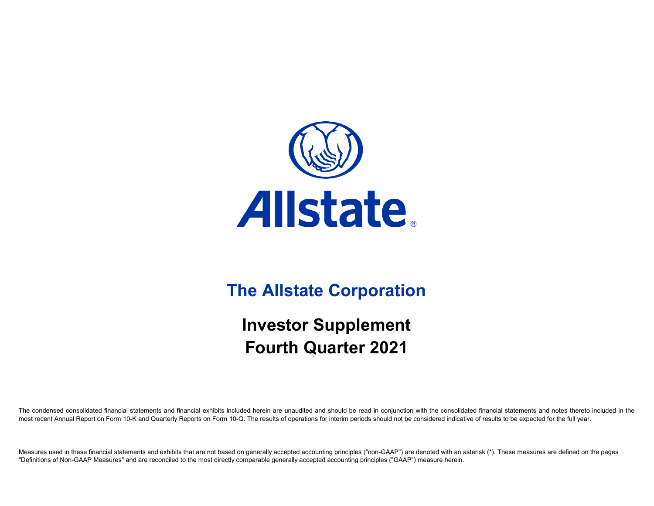

# **The Allstate Corporation**

# **Investor Supplement Fourth Quarter 2021**

The condensed consolidated financial statements and financial exhibits included herein are unaudited and should be read in conjunction with the consolidated financial statements and notes thereto included in the most recent Annual Report on Form 10-K and Quarterly Reports on Form 10-Q. The results of operations for interim periods should not be considered indicative of results to be expected for the full year.

Measures used in these financial statements and exhibits that are not based on generally accepted accounting principles ("non-GAAP") are denoted with an asterisk (\*). These measures are defined on the pages "Definitions of Non-GAAP Measures" and are reconciled to the most directly comparable generally accepted accounting principles ("GAAP") measure herein.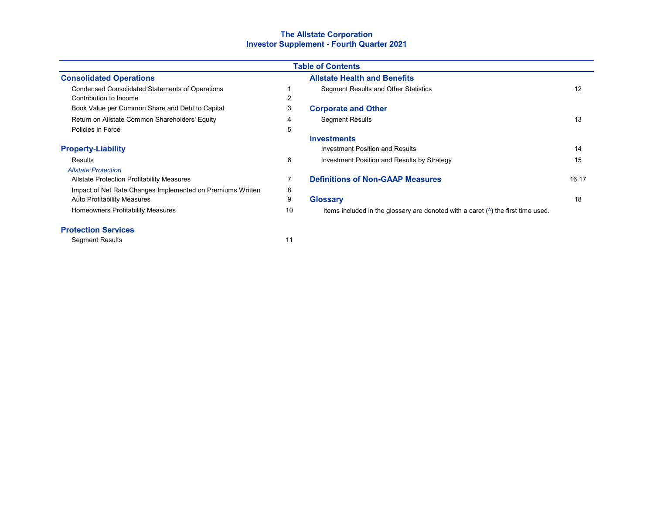# **The Allstate Corporation Investor Supplement - Fourth Quarter 2021**

| <b>Table of Contents</b>                                   |    |                                                                                          |       |  |  |  |  |  |  |  |
|------------------------------------------------------------|----|------------------------------------------------------------------------------------------|-------|--|--|--|--|--|--|--|
| <b>Consolidated Operations</b>                             |    | <b>Allstate Health and Benefits</b>                                                      |       |  |  |  |  |  |  |  |
| <b>Condensed Consolidated Statements of Operations</b>     |    | <b>Segment Results and Other Statistics</b>                                              | 12    |  |  |  |  |  |  |  |
| Contribution to Income                                     | 2  |                                                                                          |       |  |  |  |  |  |  |  |
| Book Value per Common Share and Debt to Capital            | 3  | <b>Corporate and Other</b>                                                               |       |  |  |  |  |  |  |  |
| Return on Allstate Common Shareholders' Equity             | 4  | <b>Segment Results</b>                                                                   | 13    |  |  |  |  |  |  |  |
| Policies in Force                                          | 5  |                                                                                          |       |  |  |  |  |  |  |  |
|                                                            |    | <b>Investments</b>                                                                       |       |  |  |  |  |  |  |  |
| <b>Property-Liability</b>                                  |    | Investment Position and Results                                                          | 14    |  |  |  |  |  |  |  |
| Results                                                    | 6  | Investment Position and Results by Strategy                                              | 15    |  |  |  |  |  |  |  |
| <b>Allstate Protection</b>                                 |    |                                                                                          |       |  |  |  |  |  |  |  |
| Allstate Protection Profitability Measures                 |    | <b>Definitions of Non-GAAP Measures</b>                                                  | 16,17 |  |  |  |  |  |  |  |
| Impact of Net Rate Changes Implemented on Premiums Written | 8  |                                                                                          |       |  |  |  |  |  |  |  |
| <b>Auto Profitability Measures</b>                         | 9  | <b>Glossary</b>                                                                          | 18    |  |  |  |  |  |  |  |
| Homeowners Profitability Measures                          | 10 | Items included in the glossary are denoted with a caret $(^\wedge)$ the first time used. |       |  |  |  |  |  |  |  |

# **Protection Services**

Segment Results 11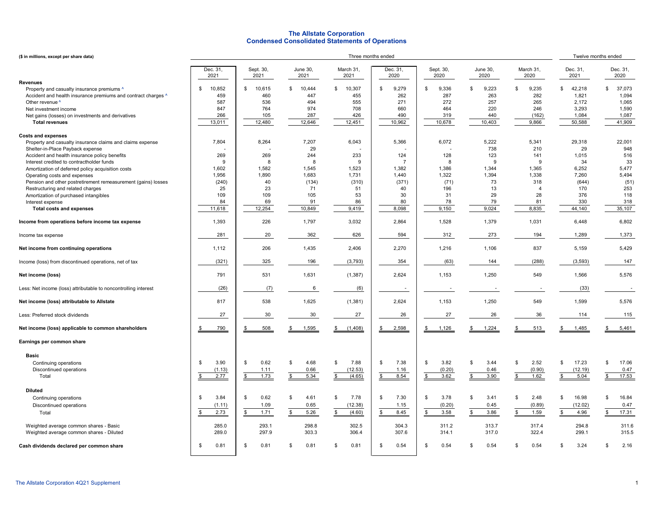## **The Allstate Corporation Condensed Consolidated Statements of Operations**

| (\$ in millions, except per share data)                         |                  |                    |                        |                   | Three months ended |                   |                    |                      |                  | Twelve months ended    |
|-----------------------------------------------------------------|------------------|--------------------|------------------------|-------------------|--------------------|-------------------|--------------------|----------------------|------------------|------------------------|
|                                                                 | Dec. 31.<br>2021 | Sept. 30,<br>2021  | June 30,<br>2021       | March 31,<br>2021 | Dec. 31<br>2020    | Sept. 30,<br>2020 | June 30,<br>2020   | March 31,<br>2020    | Dec. 31,<br>2021 | Dec. 31,<br>2020       |
| <b>Revenues</b>                                                 |                  |                    |                        |                   |                    |                   |                    |                      |                  |                        |
| Property and casualty insurance premiums ^                      | \$<br>10,852     | \$<br>10,615       | $\mathbb{S}$<br>10,444 | 10,307<br>\$      | 9,279<br>\$        | 9,336<br>\$       | 9,223<br>\$        | \$<br>9,235          | 42,218<br>\$     | \$<br>37,073           |
| Accident and health insurance premiums and contract charges ^   | 459              | 460                | 447                    | 455               | 262                | 287               | 263                | 282                  | 1,821            | 1,094                  |
| Other revenue <sup>^</sup>                                      | 587              | 536                | 494                    | 555               | 271                | 272               | 257                | 265                  | 2,172            | 1,065                  |
| Net investment income                                           | 847              | 764                | 974                    | 708               | 660                | 464               | 220                | 246                  | 3,293            | 1,590                  |
| Net gains (losses) on investments and derivatives               | 266              | 105                | 287                    | 426               | 490                | 319               | 440                | (162)                | 1,084            | 1,087                  |
| <b>Total revenues</b>                                           | 13,011           | 12,480             | 12,646                 | 12,451            | 10,962             | 10,678            | 10,403             | 9,866                | 50,588           | 41,909                 |
| <b>Costs and expenses</b>                                       |                  |                    |                        |                   |                    |                   |                    |                      |                  |                        |
| Property and casualty insurance claims and claims expense       | 7,804            | 8,264              | 7,207                  | 6,043             | 5,366              | 6,072             | 5,222              | 5,341                | 29,318           | 22,001                 |
| Shelter-in-Place Payback expense                                |                  |                    | 29                     |                   |                    |                   | 738                | 210                  | 29               | 948                    |
| Accident and health insurance policy benefits                   | 269              | 269                | 244                    | 233               | 124                | 128               | 123                | 141                  | 1,015            | 516                    |
| Interest credited to contractholder funds                       | 9                | $\mathsf{R}$       | 8                      | 9                 | $\overline{7}$     | 8                 | 9                  | 9                    | 34               | 33                     |
| Amortization of deferred policy acquisition costs               | 1,602            | 1,582              | 1,545                  | 1,523             | 1,382              | 1,386             | 1,344              | 1,365                | 6,252            | 5,477                  |
| Operating costs and expenses                                    | 1,956            | 1,890              | 1,683                  | 1,731             | 1,440              | 1,322             | 1,394              | 1,338                | 7,260            | 5,494                  |
| Pension and other postretirement remeasurement (gains) losses   | (240)            | 40                 | (134)                  | (310)             | (371)              | (71)              | 73                 | 318                  | (644)            | (51)                   |
| Restructuring and related charges                               | 25               | 23                 | 71                     | 51                | 40                 | 196               | 13                 | $\overline{4}$       | 170              | 253                    |
| Amortization of purchased intangibles                           | 109              | 109                | 105                    | 53                | 30                 | 31                | 29                 | 28                   | 376              | 118                    |
| Interest expense                                                | 84               | 69                 | 91                     | 86                | 80                 | 78                | 79                 | 81                   | 330              | 318                    |
| <b>Total costs and expenses</b>                                 | 11,618           | 12,254             | 10,849                 | 9,419             | 8,098              | 9,150             | 9,024              | 8,835                | 44,140           | 35,107                 |
| Income from operations before income tax expense                | 1,393            | 226                | 1,797                  | 3,032             | 2,864              | 1,528             | 1,379              | 1,031                | 6,448            | 6,802                  |
| Income tax expense                                              | 281              | 20                 | 362                    | 626               | 594                | 312               | 273                | 194                  | 1,289            | 1,373                  |
| Net income from continuing operations                           | 1,112            | 206                | 1,435                  | 2,406             | 2,270              | 1,216             | 1,106              | 837                  | 5,159            | 5,429                  |
| Income (loss) from discontinued operations, net of tax          | (321)            | 325                | 196                    | (3,793)           | 354                | (63)              | 144                | (288)                | (3, 593)         | 147                    |
| Net income (loss)                                               | 791              | 531                | 1,631                  | (1, 387)          | 2,624              | 1,153             | 1,250              | 549                  | 1,566            | 5,576                  |
| Less: Net income (loss) attributable to noncontrolling interest | (26)             | (7)                | 6                      | (6)               |                    |                   |                    |                      | (33)             |                        |
| Net income (loss) attributable to Allstate                      | 817              | 538                | 1,625                  | (1, 381)          | 2,624              | 1,153             | 1,250              | 549                  | 1,599            | 5,576                  |
| Less: Preferred stock dividends                                 | 27               | 30                 | 30                     | 27                | 26                 | 27                | 26                 | 36                   | 114              | 115                    |
| Net income (loss) applicable to common shareholders             | 790<br><u>\$</u> | 508                | 1,595                  | (1,408)           | 2,598              | 1,126             | 1,224              | 513                  | 1,485            | 5,461<br>\$            |
| Earnings per common share                                       |                  |                    |                        |                   |                    |                   |                    |                      |                  |                        |
| <b>Basic</b>                                                    |                  |                    |                        |                   |                    |                   |                    |                      |                  |                        |
|                                                                 |                  |                    |                        |                   |                    |                   |                    |                      |                  |                        |
| Continuing operations                                           | 3.90<br>\$       | \$<br>0.62         | 4.68<br>\$             | \$<br>7.88        | 7.38<br>\$         | \$<br>3.82        | \$<br>3.44<br>0.46 | 2.52<br>\$<br>(0.90) | \$<br>17.23      | \$<br>17.06<br>0.47    |
| Discontinued operations<br>Total                                | (1.13)<br>2.77   | 1.11<br>1.73       | 0.66<br>5.34<br>\$     | (12.53)<br>(4.65) | 1.16<br>8.54       | (0.20)<br>3.62    | 3.90<br>\$         | 1.62                 | (12.19)<br>5.04  | 17.53                  |
|                                                                 |                  | $\mathbf{\hat{s}}$ |                        |                   |                    | \$                |                    |                      |                  | \$                     |
|                                                                 |                  |                    |                        |                   |                    |                   |                    |                      |                  |                        |
| <b>Diluted</b>                                                  |                  |                    |                        |                   |                    |                   |                    |                      |                  |                        |
| Continuing operations                                           | 3.84<br>\$       | \$<br>0.62         | 4.61<br>\$             | 7.78<br>\$        | 7.30<br>\$         | 3.78<br>\$        | \$<br>3.41         | 2.48<br>\$           | 16.98<br>\$      | 16.84<br>\$            |
| Discontinued operations                                         | (1.11)           | 1.09               | 0.65                   | (12.38)           | 1.15               | (0.20)            | 0.45               | (0.89)               | (12.02)          | 0.47                   |
| Total                                                           | 2.73<br>\$       | 1.71<br><b>S</b>   | 5.26<br>\$             | (4.60)<br>\$      | 8.45               | 3.58<br>\$        | 3.86<br>\$         | 1.59                 | 4.96             | 17.31<br>-\$           |
|                                                                 |                  |                    |                        |                   |                    |                   |                    |                      |                  |                        |
| Weighted average common shares - Basic                          | 285.0            | 293.1              | 298.8                  | 302.5             | 304.3              | 311.2             | 313.7              | 317.4                | 294.8            | 311.6                  |
| Weighted average common shares - Diluted                        | 289.0            | 297.9              | 303.3                  | 306.4             | 307.6              | 314.1             | 317.0              | 322.4                | 299.1            | 315.5                  |
| Cash dividends declared per common share                        | 0.81<br>\$       | \$<br>0.81         | 0.81<br>£.             | 0.81<br>\$        | 0.54<br>\$         | 0.54<br>\$        | 0.54<br>£.         | 0.54<br>\$           | 3.24<br>\$       | 2.16<br>$\mathfrak{L}$ |
|                                                                 |                  |                    |                        |                   |                    |                   |                    |                      |                  |                        |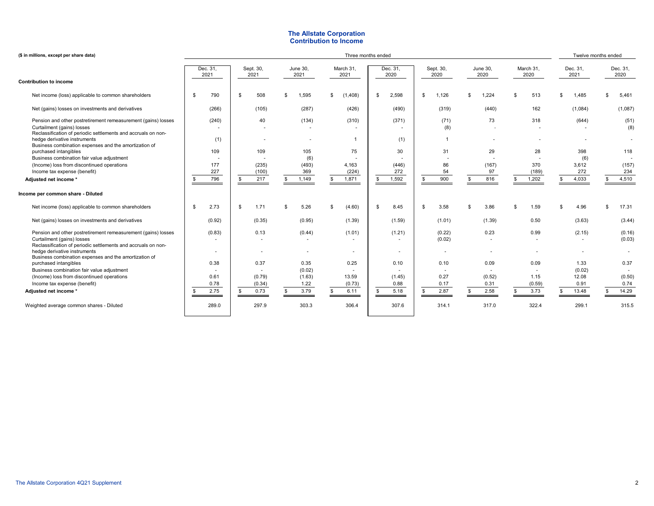## **The Allstate Corporation Contribution to Income**

| (\$ in millions, except per share data)                                                                                                                                                                                             |                                                                                                                                                                  |                          |    |                              |    |                                     |              | Three months ended            |    |                             |                  |                                  |                          |                |                             | Twelve months ended                       |                                              |
|-------------------------------------------------------------------------------------------------------------------------------------------------------------------------------------------------------------------------------------|------------------------------------------------------------------------------------------------------------------------------------------------------------------|--------------------------|----|------------------------------|----|-------------------------------------|--------------|-------------------------------|----|-----------------------------|------------------|----------------------------------|--------------------------|----------------|-----------------------------|-------------------------------------------|----------------------------------------------|
|                                                                                                                                                                                                                                     | Dec. 31,<br>Sept. 30,<br>June 30,<br>Dec. 31,<br>June 30,<br>March 31,<br>Sept. 30,<br>March 31,<br>2021<br>2021<br>2021<br>2021<br>2020<br>2020<br>2020<br>2020 |                          |    |                              |    |                                     |              |                               |    |                             | Dec. 31,<br>2021 | Dec. 31,<br>2020                 |                          |                |                             |                                           |                                              |
| <b>Contribution to income</b>                                                                                                                                                                                                       |                                                                                                                                                                  |                          |    |                              |    |                                     |              |                               |    |                             |                  |                                  |                          |                |                             |                                           |                                              |
| Net income (loss) applicable to common shareholders                                                                                                                                                                                 | \$                                                                                                                                                               | 790                      | \$ | 508                          | £. | 1,595                               | $\mathbf{s}$ | (1,408)                       | \$ | 2,598                       | S.               | 1,126                            | \$<br>1,224              | $\mathfrak{L}$ | 513                         | \$<br>1,485                               | \$<br>5,461                                  |
| Net (gains) losses on investments and derivatives                                                                                                                                                                                   |                                                                                                                                                                  | (266)                    |    | (105)                        |    | (287)                               |              | (426)                         |    | (490)                       |                  | (319)                            | (440)                    |                | 162                         | (1,084)                                   | (1,087)                                      |
| Pension and other postretirement remeasurement (gains) losses<br>Curtailment (gains) losses<br>Reclassification of periodic settlements and accruals on non-<br>hedge derivative instruments                                        |                                                                                                                                                                  | (240)<br>(1)             |    | 40                           |    | (134)                               |              | (310)<br>$\overline{1}$       |    | (371)<br>(1)                |                  | (71)<br>(8)<br>$\mathbf{1}$      | 73                       |                | 318                         | (644)<br>٠                                | (51)<br>(8)                                  |
| Business combination expenses and the amortization of<br>purchased intangibles<br>Business combination fair value adjustment<br>(Income) loss from discontinued operations<br>Income tax expense (benefit)<br>Adjusted net income * | \$                                                                                                                                                               | 109<br>177<br>227<br>796 | \$ | 109<br>(235)<br>(100)<br>217 |    | 105<br>(6)<br>(493)<br>369<br>1,149 | \$           | 75<br>4,163<br>(224)<br>1,871 | s. | 30<br>(446)<br>272<br>1,592 | S                | 31<br>86<br>54<br>900            | 29<br>(167)<br>97<br>816 | \$             | 28<br>370<br>(189)<br>1,202 | \$<br>398<br>(6)<br>3,612<br>272<br>4,033 | \$<br>118<br>(157)<br>234<br>4,510           |
| Income per common share - Diluted                                                                                                                                                                                                   |                                                                                                                                                                  |                          |    |                              |    |                                     |              |                               |    |                             |                  |                                  |                          |                |                             |                                           |                                              |
| Net income (loss) applicable to common shareholders                                                                                                                                                                                 | \$                                                                                                                                                               | 2.73                     | \$ | 1.71                         | ς. | 5.26                                | -\$          | (4.60)                        | \$ | 8.45                        | -S               | 3.58                             | 3.86                     | \$             | 1.59                        | \$<br>4.96                                | \$<br>17.31                                  |
| Net (gains) losses on investments and derivatives                                                                                                                                                                                   |                                                                                                                                                                  | (0.92)                   |    | (0.35)                       |    | (0.95)                              |              | (1.39)                        |    | (1.59)                      |                  | (1.01)                           | (1.39)                   |                | 0.50                        | (3.63)                                    | (3.44)                                       |
| Pension and other postretirement remeasurement (gains) losses<br>Curtailment (gains) losses<br>Reclassification of periodic settlements and accruals on non-<br>hedge derivative instruments                                        |                                                                                                                                                                  | (0.83)                   |    | 0.13                         |    | (0.44)                              |              | (1.01)                        |    | (1.21)                      |                  | (0.22)<br>(0.02)                 | 0.23                     |                | 0.99<br>$\sim$              | (2.15)                                    | (0.16)<br>(0.03)<br>$\overline{\phantom{a}}$ |
| Business combination expenses and the amortization of<br>purchased intangibles<br>Business combination fair value adjustment                                                                                                        |                                                                                                                                                                  | 0.38                     |    | 0.37<br>$\sim$               |    | 0.35<br>(0.02)                      |              | 0.25                          |    | 0.10                        |                  | 0.10<br>$\overline{\phantom{a}}$ | 0.09                     |                | 0.09<br>$\sim$              | 1.33<br>(0.02)                            | 0.37                                         |
| (Income) loss from discontinued operations<br>Income tax expense (benefit)                                                                                                                                                          |                                                                                                                                                                  | 0.61<br>0.78             |    | (0.79)<br>(0.34)             |    | (1.63)<br>1.22                      |              | 13.59<br>(0.73)               |    | (1.45)<br>0.88              |                  | 0.27<br>0.17                     | (0.52)<br>0.31           |                | 1.15<br>(0.59)              | 12.08<br>0.91                             | (0.50)<br>0.74                               |
| Adjusted net income *                                                                                                                                                                                                               | <b>S</b>                                                                                                                                                         | 2.75                     | \$ | 0.73                         |    | 3.79                                | -S           | 6.11                          | S. | 5.18                        | \$               | 2.87                             | 2.58                     |                | 3.73                        | \$<br>13.48                               | \$<br>14.29                                  |
| Weighted average common shares - Diluted                                                                                                                                                                                            |                                                                                                                                                                  | 289.0                    |    | 297.9                        |    | 303.3                               |              | 306.4                         |    | 307.6                       |                  | 314.1                            | 317.0                    |                | 322.4                       | 299.1                                     | 315.5                                        |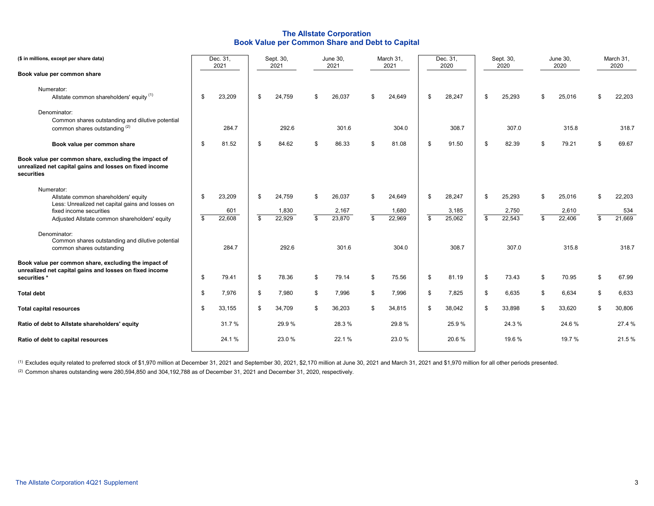## **The Allstate Corporation Book Value per Common Share and Debt to Capital**

| (\$ in millions, except per share data)                                                                                           |                         | Dec. 31,<br>2021 |                | Sept. 30,<br>2021 | June 30,<br>2021      | March 31,<br>2021     | Dec. 31,<br>2020      | Sept. 30,<br>2020     |     | June 30,<br>2020 | March 31,<br>2020   |
|-----------------------------------------------------------------------------------------------------------------------------------|-------------------------|------------------|----------------|-------------------|-----------------------|-----------------------|-----------------------|-----------------------|-----|------------------|---------------------|
| Book value per common share                                                                                                       |                         |                  |                |                   |                       |                       |                       |                       |     |                  |                     |
| Numerator:<br>Allstate common shareholders' equity (1)                                                                            | \$                      | 23,209           | \$             | 24,759            | \$<br>26,037          | \$<br>24,649          | \$<br>28,247          | \$<br>25,293          | -\$ | 25,016           | \$<br>22,203        |
| Denominator:<br>Common shares outstanding and dilutive potential<br>common shares outstanding (2)                                 |                         | 284.7            |                | 292.6             | 301.6                 | 304.0                 | 308.7                 | 307.0                 |     | 315.8            | 318.7               |
| Book value per common share                                                                                                       | \$                      | 81.52            | \$             | 84.62             | \$<br>86.33           | \$<br>81.08           | \$<br>91.50           | \$<br>82.39           | \$  | 79.21            | \$<br>69.67         |
| Book value per common share, excluding the impact of<br>unrealized net capital gains and losses on fixed income<br>securities     |                         |                  |                |                   |                       |                       |                       |                       |     |                  |                     |
| Numerator:<br>Allstate common shareholders' equity<br>Less: Unrealized net capital gains and losses on<br>fixed income securities | \$                      | 23,209<br>601    | \$             | 24,759<br>1,830   | \$<br>26,037<br>2,167 | \$<br>24,649<br>1,680 | \$<br>28,247<br>3,185 | \$<br>25,293<br>2,750 | \$  | 25,016<br>2,610  | \$<br>22,203<br>534 |
| Adjusted Allstate common shareholders' equity                                                                                     | $\overline{\mathbf{s}}$ | 22,608           | $\mathfrak{L}$ | 22,929            | \$<br>23,870          | \$<br>22,969          | \$<br>25,062          | \$<br>22,543          | \$  | 22,406           | \$<br>21,669        |
| Denominator:<br>Common shares outstanding and dilutive potential<br>common shares outstanding                                     |                         | 284.7            |                | 292.6             | 301.6                 | 304.0                 | 308.7                 | 307.0                 |     | 315.8            | 318.7               |
| Book value per common share, excluding the impact of<br>unrealized net capital gains and losses on fixed income<br>securities *   | \$                      | 79.41            | \$             | 78.36             | \$<br>79.14           | \$<br>75.56           | \$<br>81.19           | \$<br>73.43           | \$  | 70.95            | \$<br>67.99         |
| <b>Total debt</b>                                                                                                                 | \$                      | 7,976            | \$             | 7,980             | \$<br>7,996           | \$<br>7,996           | \$<br>7,825           | \$<br>6,635           | \$  | 6,634            | \$<br>6,633         |
| <b>Total capital resources</b>                                                                                                    | \$                      | 33,155           | \$             | 34,709            | \$<br>36,203          | \$<br>34,815          | \$<br>38,042          | \$<br>33,898          | \$  | 33,620           | \$<br>30,806        |
| Ratio of debt to Allstate shareholders' equity                                                                                    |                         | 31.7%            |                | 29.9%             | 28.3%                 | 29.8%                 | 25.9%                 | 24.3%                 |     | 24.6%            | 27.4 %              |
| Ratio of debt to capital resources                                                                                                |                         | 24.1%            |                | 23.0%             | 22.1 %                | 23.0 %                | 20.6%                 | 19.6 %                |     | 19.7 %           | 21.5 %              |

(1) Excludes equity related to preferred stock of \$1,970 million at December 31, 2021 and September 30, 2021, \$2,170 million at June 30, 2021 and March 31, 2021 and \$1,970 million for all other periods presented.

(2) Common shares outstanding were 280,594,850 and 304,192,788 as of December 31, 2021 and December 31, 2020, respectively.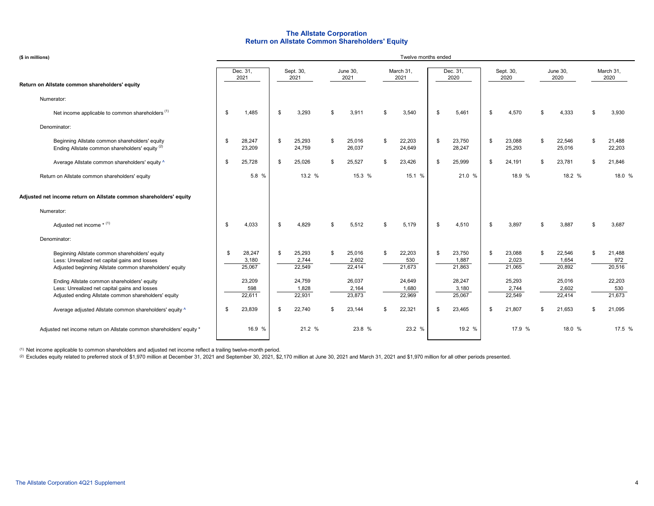## **Return on Allstate Common Shareholders' Equity The Allstate Corporation**

| (\$ in millions)                                                                                                                                           | Twelve months ended |                           |    |                           |     |                           |     |                           |    |                           |                                 |     |                           |          |                         |
|------------------------------------------------------------------------------------------------------------------------------------------------------------|---------------------|---------------------------|----|---------------------------|-----|---------------------------|-----|---------------------------|----|---------------------------|---------------------------------|-----|---------------------------|----------|-------------------------|
|                                                                                                                                                            |                     | Dec. 31,<br>2021          |    | Sept. 30,<br>2021         |     | <b>June 30,</b><br>2021   |     | March 31,<br>2021         |    | Dec. 31,<br>2020          | Sept. 30,<br>2020               |     | June 30,<br>2020          |          | March 31,<br>2020       |
| Return on Allstate common shareholders' equity                                                                                                             |                     |                           |    |                           |     |                           |     |                           |    |                           |                                 |     |                           |          |                         |
| Numerator:                                                                                                                                                 |                     |                           |    |                           |     |                           |     |                           |    |                           |                                 |     |                           |          |                         |
| Net income applicable to common shareholders <sup>(1)</sup>                                                                                                | \$                  | 1,485                     | \$ | 3,293                     | ፍ   | 3,911                     | £.  | 3,540                     | \$ | 5,461                     | \$<br>4,570                     | \$  | 4,333                     | \$       | 3,930                   |
| Denominator:                                                                                                                                               |                     |                           |    |                           |     |                           |     |                           |    |                           |                                 |     |                           |          |                         |
| Beginning Allstate common shareholders' equity<br>Ending Allstate common shareholders' equity (2)                                                          | \$                  | 28,247<br>23,209          | \$ | 25,293<br>24,759          | \$  | 25,016<br>26,037          | \$  | 22,203<br>24,649          | \$ | 23,750<br>28,247          | \$<br>23,088<br>25,293          | \$  | 22,546<br>25,016          | <b>S</b> | 21,488<br>22,203        |
| Average Allstate common shareholders' equity ^                                                                                                             | \$                  | 25,728                    | \$ | 25,026                    | \$  | 25,527                    | \$. | 23,426                    | \$ | 25,999                    | \$<br>24,191                    | \$. | 23,781                    | -\$      | 21,846                  |
| Return on Allstate common shareholders' equity                                                                                                             |                     | 5.8 %                     |    | 13.2 %                    |     | 15.3 %                    |     | 15.1 %                    |    | 21.0 %                    | 18.9 %                          |     | 18.2 %                    |          | 18.0 %                  |
| Adjusted net income return on Allstate common shareholders' equity                                                                                         |                     |                           |    |                           |     |                           |     |                           |    |                           |                                 |     |                           |          |                         |
| Numerator:                                                                                                                                                 |                     |                           |    |                           |     |                           |     |                           |    |                           |                                 |     |                           |          |                         |
| Adjusted net income $*$ $(1)$                                                                                                                              | \$                  | 4,033                     | \$ | 4,829                     | \$  | 5,512                     | \$  | 5,179                     | \$ | 4,510                     | \$<br>3,897                     | \$. | 3,887                     | \$       | 3,687                   |
| Denominator:                                                                                                                                               |                     |                           |    |                           |     |                           |     |                           |    |                           |                                 |     |                           |          |                         |
| Beginning Allstate common shareholders' equity<br>Less: Unrealized net capital gains and losses<br>Adjusted beginning Allstate common shareholders' equity | S.                  | 28,247<br>3,180<br>25,067 | S. | 25,293<br>2,744<br>22,549 | \$  | 25,016<br>2,602<br>22,414 | £.  | 22,203<br>530<br>21,673   | \$ | 23,750<br>1,887<br>21,863 | \$<br>23,088<br>2,023<br>21,065 | \$. | 22,546<br>1,654<br>20,892 | \$       | 21,488<br>972<br>20,516 |
| Ending Allstate common shareholders' equity<br>Less: Unrealized net capital gains and losses<br>Adjusted ending Allstate common shareholders' equity       |                     | 23,209<br>598<br>22,611   |    | 24,759<br>1,828<br>22,931 |     | 26,037<br>2,164<br>23,873 |     | 24,649<br>1,680<br>22,969 |    | 28,247<br>3,180<br>25,067 | 25,293<br>2,744<br>22,549       |     | 25,016<br>2,602<br>22,414 |          | 22,203<br>530<br>21,673 |
| Average adjusted Allstate common shareholders' equity ^                                                                                                    | \$                  | 23,839                    | \$ | 22,740                    | \$. | 23,144                    | \$  | 22,321                    | \$ | 23,465                    | \$<br>21,807                    | \$. | 21,653                    | \$       | 21,095                  |
| Adjusted net income return on Allstate common shareholders' equity *                                                                                       |                     | 16.9 %                    |    | 21.2 %                    |     | 23.8 %                    |     | 23.2 %                    |    | 19.2 %                    | 17.9 %                          |     | 18.0 %                    |          | 17.5 %                  |

 $^{\text{\tiny{(1)}}}$  Net income applicable to common shareholders and adjusted net income reflect a trailing twelve-month period.

(2) Excludes equity related to preferred stock of \$1,970 million at December 31, 2021 and September 30, 2021, \$2,170 million at June 30, 2021 and March 31, 2021 and \$1,970 million for all other periods presented.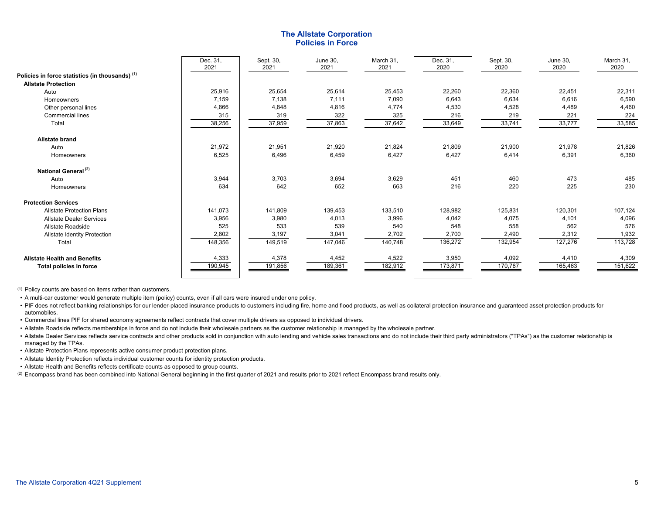## **The Allstate Corporation Policies in Force**

|                                                 | Dec. 31,<br>2021 | Sept. 30,<br>2021 | June 30,<br>2021 | March 31.<br>2021 | Dec. 31,<br>2020 | Sept. 30,<br>2020 | <b>June 30,</b><br>2020 | March 31,<br>2020 |
|-------------------------------------------------|------------------|-------------------|------------------|-------------------|------------------|-------------------|-------------------------|-------------------|
| Policies in force statistics (in thousands) (1) |                  |                   |                  |                   |                  |                   |                         |                   |
| <b>Allstate Protection</b>                      |                  |                   |                  |                   |                  |                   |                         |                   |
| Auto                                            | 25,916           | 25,654            | 25,614           | 25,453            | 22,260           | 22,360            | 22,451                  | 22,311            |
| Homeowners                                      | 7,159            | 7,138             | 7,111            | 7,090             | 6,643            | 6,634             | 6,616                   | 6,590             |
| Other personal lines                            | 4,866            | 4,848             | 4,816            | 4,774             | 4,530            | 4,528             | 4,489                   | 4,460             |
| Commercial lines                                | 315              | 319               | 322              | 325               | 216              | 219               | 221                     | 224               |
| Total                                           | 38,256           | 37,959            | 37,863           | 37,642            | 33,649           | 33,741            | 33,777                  | 33,585            |
| <b>Allstate brand</b>                           |                  |                   |                  |                   |                  |                   |                         |                   |
| Auto                                            | 21,972           | 21,951            | 21,920           | 21,824            | 21,809           | 21,900            | 21,978                  | 21,826            |
| Homeowners                                      | 6,525            | 6,496             | 6,459            | 6,427             | 6,427            | 6,414             | 6,391                   | 6,360             |
| National General <sup>(2)</sup>                 |                  |                   |                  |                   |                  |                   |                         |                   |
| Auto                                            | 3,944            | 3,703             | 3,694            | 3,629             | 451              | 460               | 473                     | 485               |
| Homeowners                                      | 634              | 642               | 652              | 663               | 216              | 220               | 225                     | 230               |
| <b>Protection Services</b>                      |                  |                   |                  |                   |                  |                   |                         |                   |
| <b>Allstate Protection Plans</b>                | 141,073          | 141,809           | 139,453          | 133,510           | 128,982          | 125,831           | 120,301                 | 107,124           |
| <b>Allstate Dealer Services</b>                 | 3,956            | 3,980             | 4,013            | 3,996             | 4,042            | 4,075             | 4,101                   | 4,096             |
| Allstate Roadside                               | 525              | 533               | 539              | 540               | 548              | 558               | 562                     | 576               |
| Allstate Identity Protection                    | 2,802            | 3,197             | 3,041            | 2,702             | 2,700            | 2,490             | 2,312                   | 1,932             |
| Total                                           | 148,356          | 149,519           | 147,046          | 140,748           | 136,272          | 132,954           | 127,276                 | 113,728           |
| <b>Allstate Health and Benefits</b>             | 4,333            | 4,378             | 4,452            | 4,522             | 3,950            | 4,092             | 4,410                   | 4,309             |
| Total policies in force                         | 190,945          | 191,856           | 189,361          | 182,912           | 173,871          | 170,787           | 165,463                 | 151,622           |

(1) Policy counts are based on items rather than customers.

• A multi-car customer would generate multiple item (policy) counts, even if all cars were insured under one policy.

• PIF does not reflect banking relationships for our lender-placed insurance products to customers including fire, home and flood products, as well as collateral protection insurance and guaranteed asset protection product automobiles.

• Commercial lines PIF for shared economy agreements reflect contracts that cover multiple drivers as opposed to individual drivers.

• Allstate Roadside reflects memberships in force and do not include their wholesale partners as the customer relationship is managed by the wholesale partner.

• Allstate Dealer Services reflects service contracts and other products sold in conjunction with auto lending and vehicle sales transactions and do not include their third party administrators ("TPAs") as the customer rel managed by the TPAs.

• Allstate Protection Plans represents active consumer product protection plans.

- Allstate Identity Protection reflects individual customer counts for identity protection products.
- Allstate Health and Benefits reflects certificate counts as opposed to group counts.

 $^{\text{\tiny{(2)}}}$  Encompass brand has been combined into National General beginning in the first quarter of 2021 and results prior to 2021 reflect Encompass brand results only.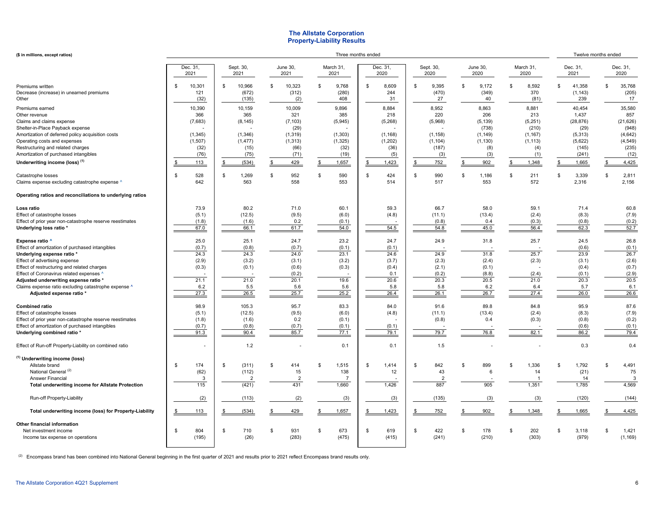### **The Allstate Corporation Property-Liability Results**

| (\$ in millions, except ratios)                                                                                                                                                                                                                                                                                                                           |                                                                 |                                                                   |                                                                           |                                                                  | Three months ended                                                    |                                                                 |                                                                         |                                                                         |                                                                              | Twelve months ended                                                          |
|-----------------------------------------------------------------------------------------------------------------------------------------------------------------------------------------------------------------------------------------------------------------------------------------------------------------------------------------------------------|-----------------------------------------------------------------|-------------------------------------------------------------------|---------------------------------------------------------------------------|------------------------------------------------------------------|-----------------------------------------------------------------------|-----------------------------------------------------------------|-------------------------------------------------------------------------|-------------------------------------------------------------------------|------------------------------------------------------------------------------|------------------------------------------------------------------------------|
|                                                                                                                                                                                                                                                                                                                                                           | Dec. 31,<br>2021                                                | Sept. 30,<br>2021                                                 | June 30,<br>2021                                                          | March 31,<br>2021                                                | Dec. 31,<br>2020                                                      | Sept. 30,<br>2020                                               | June 30,<br>2020                                                        | March 31,<br>2020                                                       | Dec. 31,<br>2021                                                             | Dec. 31,<br>2020                                                             |
| Premiums written<br>Decrease (increase) in unearned premiums<br>Other                                                                                                                                                                                                                                                                                     | 10,301<br>\$<br>121<br>(32)                                     | 10,966<br>\$<br>(672)<br>(135)                                    | 10,323<br>\$<br>(312)<br>(2)                                              | 9,768<br>\$<br>(280)<br>408                                      | 8,609<br>\$<br>244<br>31                                              | 9,395<br>$\mathfrak{s}$<br>\$<br>(470)<br>27                    | 9,172<br>(349)<br>40                                                    | 8,592<br>$\mathbf{s}$<br>370<br>(81)                                    | \$.<br>41,358<br>(1, 143)<br>239                                             | 35,768<br>\$<br>(205)<br>17                                                  |
| Premiums earned<br>Other revenue<br>Claims and claims expense<br>Shelter-in-Place Payback expense<br>Amortization of deferred policy acquisition costs<br>Operating costs and expenses<br>Restructuring and related charges<br>Amortization of purchased intangibles                                                                                      | 10,390<br>366<br>(7,683)<br>(1, 345)<br>(1,507)<br>(32)<br>(76) | 10,159<br>365<br>(8, 145)<br>(1, 346)<br>(1, 477)<br>(15)<br>(75) | 10,009<br>321<br>(7, 103)<br>(29)<br>(1, 319)<br>(1, 313)<br>(66)<br>(71) | 9,896<br>385<br>(5, 945)<br>(1, 303)<br>(1, 325)<br>(32)<br>(19) | 8,884<br>218<br>(5,268)<br>(1, 168)<br>(1, 202)<br>(36)<br>(5)        | 8,952<br>220<br>(5,968)<br>(1, 158)<br>(1, 104)<br>(187)<br>(3) | 8,863<br>206<br>(5, 139)<br>(738)<br>(1, 149)<br>(1, 130)<br>(8)<br>(3) | 8,881<br>213<br>(5, 251)<br>(210)<br>(1, 167)<br>(1, 113)<br>(4)<br>(1) | 40,454<br>1,437<br>(28, 876)<br>(29)<br>(5,313)<br>(5,622)<br>(145)<br>(241) | 35,580<br>857<br>(21, 626)<br>(948)<br>(4, 642)<br>(4, 549)<br>(235)<br>(12) |
| Underwriting income (loss) <sup>(1)</sup><br>Catastrophe losses<br>Claims expense excluding catastrophe expense ^                                                                                                                                                                                                                                         | 113<br>\$<br>528<br>\$<br>642                                   | (534)<br>\$<br>1,269<br>\$<br>563                                 | 429<br>$\frac{1}{2}$<br>952<br>\$<br>558                                  | 1,657<br>\$<br>590<br>\$.<br>553                                 | 1,423<br><u>\$</u><br>\$<br>424<br>514                                | 752<br>990<br>\$.<br>£.<br>517                                  | 902<br>1,186<br>553                                                     | 1,348<br>211<br>ſ.<br>572                                               | 1,665<br>3,339<br>\$.<br>2,316                                               | 4,425<br>2,811<br>\$<br>2,156                                                |
| Operating ratios and reconciliations to underlying ratios                                                                                                                                                                                                                                                                                                 |                                                                 |                                                                   |                                                                           |                                                                  |                                                                       |                                                                 |                                                                         |                                                                         |                                                                              |                                                                              |
| Loss ratio<br>Effect of catastrophe losses<br>Effect of prior year non-catastrophe reserve reestimates<br>Underlying loss ratio *                                                                                                                                                                                                                         | 73.9<br>(5.1)<br>(1.8)<br>67.0                                  | 80.2<br>(12.5)<br>(1.6)<br>66.1                                   | 71.0<br>(9.5)<br>0.2<br>61.7                                              | 60.1<br>(6.0)<br>(0.1)<br>54.0                                   | 59.3<br>(4.8)<br>54.5                                                 | 66.7<br>(11.1)<br>(0.8)<br>54.8                                 | 58.0<br>(13.4)<br>0.4<br>45.0                                           | 59.1<br>(2.4)<br>(0.3)<br>56.4                                          | 71.4<br>(8.3)<br>(0.8)<br>62.3                                               | 60.8<br>(7.9)<br>(0.2)<br>52.7                                               |
| Expense ratio ^<br>Effect of amortization of purchased intangibles<br>Underlying expense ratio *<br>Effect of advertising expense<br>Effect of restructuring and related charges<br>Effect of Coronavirus related expenses ^<br>Adjusted underwriting expense ratio *<br>Claims expense ratio excluding catastrophe expense ^<br>Adjusted expense ratio * | 25.0<br>(0.7)<br>24.3<br>(2.9)<br>(0.3)<br>21.1<br>6.2<br>27.3  | 25.1<br>(0.8)<br>24.3<br>(3.2)<br>(0.1)<br>21.0<br>5.5<br>26.5    | 24.7<br>(0.7)<br>24.0<br>(3.1)<br>(0.6)<br>(0.2)<br>20.1<br>5.6<br>25.7   | 23.2<br>(0.1)<br>23.1<br>(3.2)<br>(0.3)<br>19.6<br>5.6<br>25.2   | 24.7<br>(0.1)<br>24.6<br>(3.7)<br>(0.4)<br>0.1<br>20.6<br>5.8<br>26.4 | 24.9<br>24.9<br>(2.3)<br>(2.1)<br>(0.2)<br>20.3<br>5.8<br>26.1  | 31.8<br>31.8<br>(2.4)<br>(0.1)<br>(8.8)<br>20.5<br>6.2<br>26.7          | 25.7<br>25.7<br>(2.3)<br>(2.4)<br>21.0<br>6.4<br>27.4                   | 24.5<br>(0.6)<br>23.9<br>(3.1)<br>(0.4)<br>(0.1)<br>20.3<br>5.7<br>26.0      | 26.8<br>(0.1)<br>26.7<br>(2.6)<br>(0.7)<br>(2.9)<br>20.5<br>6.1<br>26.6      |
| <b>Combined ratio</b><br>Effect of catastrophe losses<br>Effect of prior year non-catastrophe reserve reestimates<br>Effect of amortization of purchased intangibles<br>Underlying combined ratio *<br>Effect of Run-off Property-Liability on combined ratio                                                                                             | 98.9<br>(5.1)<br>(1.8)<br>(0.7)<br>91.3                         | 105.3<br>(12.5)<br>(1.6)<br>(0.8)<br>90.4<br>1.2                  | 95.7<br>(9.5)<br>0.2<br>(0.7)<br>85.7                                     | 83.3<br>(6.0)<br>(0.1)<br>(0.1)<br>77.1<br>0.1                   | 84.0<br>(4.8)<br>(0.1)<br>79.1<br>0.1                                 | 91.6<br>(11.1)<br>(0.8)<br>79.7<br>1.5                          | 89.8<br>(13.4)<br>0.4<br>76.8                                           | 84.8<br>(2.4)<br>(0.3)<br>82.1                                          | 95.9<br>(8.3)<br>(0.8)<br>(0.6)<br>86.2<br>0.3                               | 87.6<br>(7.9)<br>(0.2)<br>(0.1)<br>79.4<br>0.4                               |
| <sup>(1)</sup> Underwriting income (loss)<br>Allstate brand<br>National General <sup>(2)</sup><br><b>Answer Financial</b><br>Total underwriting income for Allstate Protection                                                                                                                                                                            | 174<br>\$<br>(62)<br>3<br>115                                   | (311)<br>\$<br>(112)<br>$\overline{2}$<br>(421)                   | \$<br>414<br>15<br>$\overline{2}$<br>431                                  | 1,515<br>\$.<br>138<br>$\overline{7}$<br>1,660                   | \$<br>1,414<br>12<br>1,426                                            | 842<br>\$<br>\$<br>43<br>$\overline{2}$<br>887                  | 899<br>6<br>905                                                         | 1,336<br>\$<br>14<br>-1<br>1,351                                        | 1,792<br>S<br>(21)<br>14<br>1,785                                            | 4,491<br>\$<br>75<br>3<br>4,569                                              |
| Run-off Property-Liability                                                                                                                                                                                                                                                                                                                                | (2)                                                             | (113)                                                             | (2)                                                                       | (3)                                                              | (3)                                                                   | (135)                                                           | (3)                                                                     | (3)                                                                     | (120)                                                                        | (144)                                                                        |
| Total underwriting income (loss) for Property-Liability                                                                                                                                                                                                                                                                                                   | 113                                                             | (534)                                                             | 429                                                                       | 1,657                                                            | 1,423                                                                 | 752                                                             | 902                                                                     | 1,348                                                                   | 1,665<br>S                                                                   | 4,425                                                                        |
| Other financial information<br>Net investment income<br>Income tax expense on operations                                                                                                                                                                                                                                                                  | 804<br>\$.<br>(195)                                             | 710<br>-\$<br>(26)                                                | \$.<br>931<br>(283)                                                       | 673<br>\$.<br>(475)                                              | 619<br>s.<br>(415)                                                    | 422<br>S<br>\$<br>(241)                                         | 178<br>(210)                                                            | 202<br>\$.<br>(303)                                                     | \$<br>3,118<br>(979)                                                         | 1,421<br>\$.<br>(1, 169)                                                     |

 $^{(2)}$  Encompass brand has been combined into National General beginning in the first quarter of 2021 and results prior to 2021 reflect Encompass brand results only.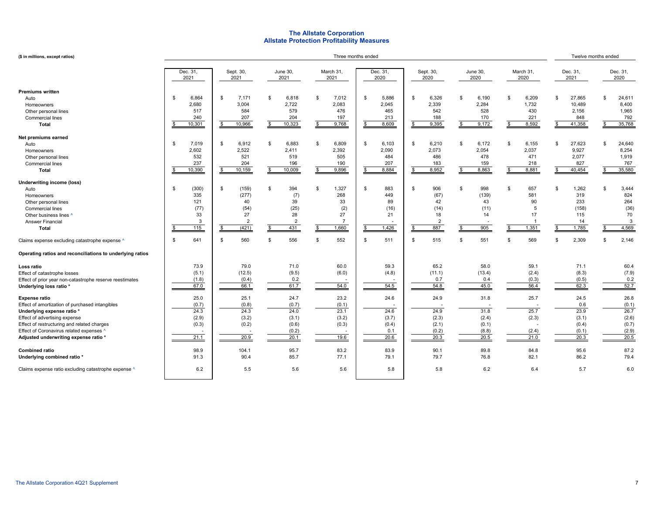## **The Allstate Corporation Allstate Protection Profitability Measures**

| (\$ in millions, except ratios)                                                                                                                                                                                                                                     |                                                                              |                                                                                                  |                                                                                 |                                                                                     | Three months ended                                          |                                                                                    |                                                                    |                                                                                 |                                                                                | Twelve months ended                                                                              |
|---------------------------------------------------------------------------------------------------------------------------------------------------------------------------------------------------------------------------------------------------------------------|------------------------------------------------------------------------------|--------------------------------------------------------------------------------------------------|---------------------------------------------------------------------------------|-------------------------------------------------------------------------------------|-------------------------------------------------------------|------------------------------------------------------------------------------------|--------------------------------------------------------------------|---------------------------------------------------------------------------------|--------------------------------------------------------------------------------|--------------------------------------------------------------------------------------------------|
|                                                                                                                                                                                                                                                                     | Dec. 31,<br>2021                                                             | Sept. 30,<br>2021                                                                                | June 30,<br>2021                                                                | March 31,<br>2021                                                                   | Dec. 31,<br>2020                                            | Sept. 30,<br>2020                                                                  | June 30,<br>2020                                                   | March 31,<br>2020                                                               | Dec. 31,<br>2021                                                               | Dec. 31,<br>2020                                                                                 |
| Premiums written<br>Auto<br>Homeowners<br>Other personal lines<br>Commercial lines<br><b>Total</b>                                                                                                                                                                  | 6,864<br>-S<br>2,680<br>517<br>240<br>10,301<br>\$                           | \$<br>7,171<br>3,004<br>584<br>207<br>$\overline{s}$<br>10,966                                   | 6,818<br><b>S</b><br>2,722<br>579<br>204<br>10,323                              | \$<br>7,012<br>2,083<br>476<br>197<br>9,768                                         | \$<br>5,886<br>2,045<br>465<br>213<br>8,609                 | \$<br>6,326<br>2,339<br>542<br>188<br>9,395<br>$\mathbf{s}$                        | 6,190<br>\$<br>2,284<br>528<br>170<br>9,172<br>\$.                 | 6,209<br>\$<br>1,732<br>430<br>221<br>8,592<br>\$                               | 27,865<br>\$<br>10,489<br>2,156<br>848<br>41,358                               | <b>S</b><br>24,611<br>8,400<br>1,965<br>792<br>35,768<br>\$                                      |
| Net premiums earned<br>Auto<br>Homeowners<br>Other personal lines<br>Commercial lines<br><b>Total</b>                                                                                                                                                               | 7,019<br>-S<br>2,602<br>532<br>237<br>10,390                                 | \$<br>6,912<br>2,522<br>521<br>204<br>10,159<br>$\mathbf{s}$                                     | \$<br>6,883<br>2,411<br>519<br>196<br>10,009<br><b>S</b>                        | \$<br>6,809<br>2,392<br>505<br>190<br>9,896                                         | 6,103<br>\$<br>2,090<br>484<br>207<br>8,884<br>\$.          | \$<br>6,210<br>2,073<br>486<br>183<br>8,952<br>\$.                                 | \$<br>6,172<br>2,054<br>478<br>159<br>8,863<br>\$                  | 6,155<br>\$<br>2,037<br>471<br>218<br>8,881                                     | 27,623<br>\$<br>9,927<br>2,077<br>827<br>40,454                                | 24,640<br><b>S</b><br>8,254<br>1,919<br>767<br>35,580                                            |
| Underwriting income (loss)<br>Auto<br>Homeowners<br>Other personal lines<br><b>Commercial lines</b><br>Other business lines ^<br><b>Answer Financial</b><br>Total<br>Claims expense excluding catastrophe expense ^                                                 | (300)<br>-S<br>335<br>121<br>(77)<br>33<br>3<br>115<br>£.<br>641<br><b>S</b> | \$<br>(159)<br>(277)<br>40<br>(54)<br>27<br>$\overline{2}$<br>(421)<br>S.<br>560<br>$\mathbb{S}$ | 394<br>\$<br>(7)<br>39<br>(25)<br>28<br>$\overline{2}$<br>s.<br>431<br>556<br>S | 1,327<br>\$<br>268<br>33<br>(2)<br>27<br>$\overline{7}$<br>1,660<br>\$<br>552<br>\$ | 883<br>\$.<br>449<br>89<br>(16)<br>21<br>1,426<br>511<br>\$ | 906<br>\$<br>(67)<br>42<br>(14)<br>18<br>$\overline{2}$<br>887<br>\$.<br>515<br>\$ | 998<br>\$.<br>(139)<br>43<br>(11)<br>14<br>905<br>\$<br>551<br>\$. | 657<br>\$<br>581<br>90<br>5<br>17<br>$\overline{1}$<br>1,351<br>\$<br>569<br>£. | 1,262<br>-96<br>319<br>233<br>(158)<br>115<br>14<br>1,785<br>\$<br>2,309<br>\$ | $\mathbf{\hat{s}}$<br>3,444<br>824<br>264<br>(36)<br>70<br>3<br>4,569<br>-S<br>2,146<br><b>S</b> |
| Operating ratios and reconciliations to underlying ratios<br>Loss ratio<br>Effect of catastrophe losses<br>Effect of prior year non-catastrophe reserve reestimates<br>Underlying loss ratio *                                                                      | 73.9<br>(5.1)<br>(1.8)<br>67.0                                               | 79.0<br>(12.5)<br>(0.4)<br>66.1                                                                  | 71.0<br>(9.5)<br>0.2<br>61.7                                                    | 60.0<br>(6.0)<br>54.0                                                               | 59.3<br>(4.8)<br>54.5                                       | 65.2<br>(11.1)<br>0.7<br>54.8                                                      | 58.0<br>(13.4)<br>0.4<br>45.0                                      | 59.1<br>(2.4)<br>(0.3)<br>56.4                                                  | 71.1<br>(8.3)<br>(0.5)<br>62.3                                                 | 60.4<br>(7.9)<br>0.2<br>52.7                                                                     |
| Expense ratio<br>Effect of amortization of purchased intangibles<br>Underlying expense ratio *<br>Effect of advertising expense<br>Effect of restructuring and related charges<br>Effect of Coronavirus related expenses ^<br>Adjusted underwriting expense ratio * | 25.0<br>(0.7)<br>24.3<br>(2.9)<br>(0.3)<br>21.1                              | 25.1<br>(0.8)<br>24.3<br>(3.2)<br>(0.2)<br>20.9                                                  | 24.7<br>(0.7)<br>24.0<br>(3.1)<br>(0.6)<br>(0.2)<br>20.1                        | 23.2<br>(0.1)<br>23.1<br>(3.2)<br>(0.3)<br>19.6                                     | 24.6<br>24.6<br>(3.7)<br>(0.4)<br>0.1<br>20.6               | 24.9<br>24.9<br>(2.3)<br>(2.1)<br>(0.2)<br>20.3                                    | 31.8<br>31.8<br>(2.4)<br>(0.1)<br>(8.8)<br>20.5                    | 25.7<br>25.7<br>(2.3)<br>(2.4)<br>21.0                                          | 24.5<br>0.6<br>23.9<br>(3.1)<br>(0.4)<br>(0.1)<br>20.3                         | 26.8<br>(0.1)<br>26.7<br>(2.6)<br>(0.7)<br>(2.9)<br>20.5                                         |
| Combined ratio<br>Underlying combined ratio *                                                                                                                                                                                                                       | 98.9<br>91.3                                                                 | 104.1<br>90.4                                                                                    | 95.7<br>85.7                                                                    | 83.2<br>77.1                                                                        | 83.9<br>79.1                                                | 90.1<br>79.7                                                                       | 89.8<br>76.8                                                       | 84.8<br>82.1                                                                    | 95.6<br>86.2                                                                   | 87.2<br>79.4                                                                                     |
| Claims expense ratio excluding catastrophe expense ^                                                                                                                                                                                                                | 6.2                                                                          | 5.5                                                                                              | 5.6                                                                             | 5.6                                                                                 | 5.8                                                         | 5.8                                                                                | 6.2                                                                | 6.4                                                                             | 5.7                                                                            | 6.0                                                                                              |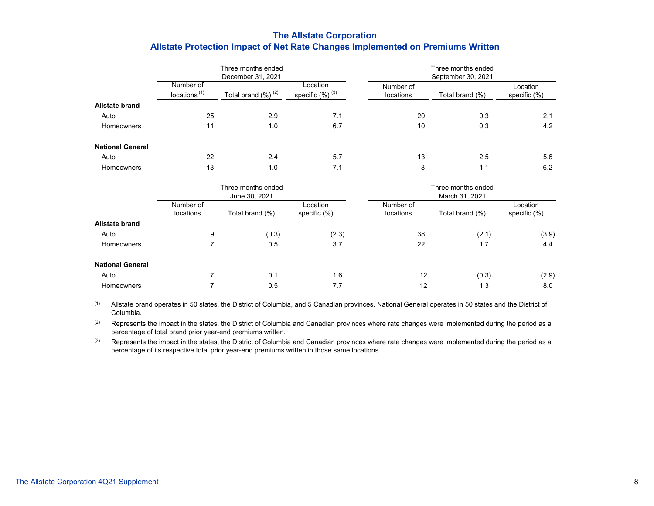# **The Allstate Corporation Allstate Protection Impact of Net Rate Changes Implemented on Premiums Written**

|                         |                                       | Three months ended       |                                  |                        | Three months ended |                             |
|-------------------------|---------------------------------------|--------------------------|----------------------------------|------------------------|--------------------|-----------------------------|
|                         |                                       | December 31, 2021        |                                  |                        | September 30, 2021 |                             |
|                         | Number of<br>locations <sup>(1)</sup> | Total brand $(\%)^{(2)}$ | Location<br>specific $(%)^{(3)}$ | Number of<br>locations | Total brand (%)    | Location<br>specific $(\%)$ |
| <b>Allstate brand</b>   |                                       |                          |                                  |                        |                    |                             |
| Auto                    | 25                                    | 2.9                      | 7.1                              | 20                     | 0.3                | 2.1                         |
| Homeowners              | 11                                    | 1.0                      | 6.7                              | 10                     | 0.3                | 4.2                         |
| <b>National General</b> |                                       |                          |                                  |                        |                    |                             |
| Auto                    | 22                                    | 2.4                      | 5.7                              | 13                     | 2.5                | 5.6                         |
| <b>Homeowners</b>       | 13                                    | 1.0                      | 7.1                              | 8                      | 1.1                | 6.2                         |

|                         |                        | Three months ended<br>June 30, 2021 |                             |                        | Three months ended<br>March 31, 2021 |                             |
|-------------------------|------------------------|-------------------------------------|-----------------------------|------------------------|--------------------------------------|-----------------------------|
|                         | Number of<br>locations | Total brand (%)                     | Location<br>specific $(\%)$ | Number of<br>locations | Total brand (%)                      | Location<br>specific $(\%)$ |
| <b>Allstate brand</b>   |                        |                                     |                             |                        |                                      |                             |
| Auto                    | 9                      | (0.3)                               | (2.3)                       | 38                     | (2.1)                                | (3.9)                       |
| Homeowners              |                        | 0.5                                 | 3.7                         | 22                     | 1.7                                  | 4.4                         |
| <b>National General</b> |                        |                                     |                             |                        |                                      |                             |
| Auto                    |                        | 0.1                                 | 1.6                         | 12                     | (0.3)                                | (2.9)                       |
| Homeowners              |                        | 0.5                                 | 7.7                         | 12                     | 1.3                                  | 8.0                         |

(1) Allstate brand operates in 50 states, the District of Columbia, and 5 Canadian provinces. National General operates in 50 states and the District of Columbia.

(2) Represents the impact in the states, the District of Columbia and Canadian provinces where rate changes were implemented during the period as a percentage of total brand prior year-end premiums written.

(3) Represents the impact in the states, the District of Columbia and Canadian provinces where rate changes were implemented during the period as a percentage of its respective total prior year-end premiums written in those same locations.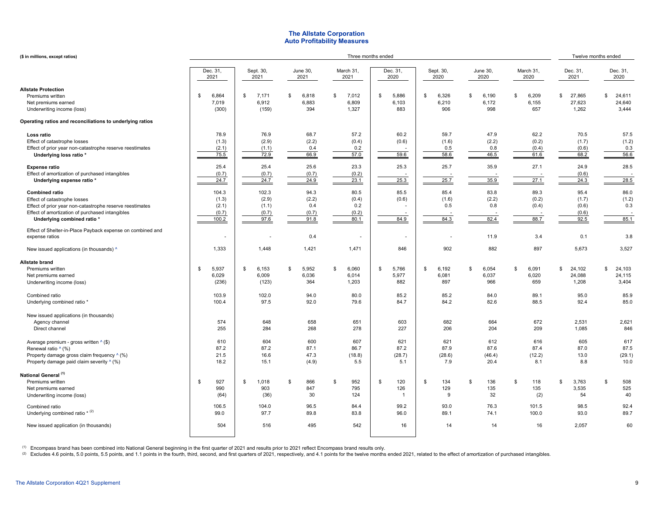## **The Allstate Corporation Auto Profitability Measures**

| (\$ in millions, except ratios)                                                                                                                                                                     |                                           |                                          |                                       | Twelve months ended                   |                                  |                              |                               |                                |                                         |                                 |
|-----------------------------------------------------------------------------------------------------------------------------------------------------------------------------------------------------|-------------------------------------------|------------------------------------------|---------------------------------------|---------------------------------------|----------------------------------|------------------------------|-------------------------------|--------------------------------|-----------------------------------------|---------------------------------|
|                                                                                                                                                                                                     | Dec. 31,<br>2021                          | Sept. 30,<br>2021                        | June 30,<br>2021                      | March 31,<br>2021                     | Dec. 31,<br>2020                 | Sept. 30,<br>2020            | June 30,<br>2020              | March 31,<br>2020              | Dec. 31,<br>2021                        | Dec. 31,<br>2020                |
| <b>Allstate Protection</b><br>Premiums written<br>Net premiums earned<br>Underwriting income (loss)                                                                                                 | \$<br>6,864<br>7,019<br>(300)             | 7,171<br>\$<br>6,912<br>(159)            | \$<br>6,818<br>6,883<br>394           | \$<br>7,012<br>6,809<br>1,327         | 5,886<br>\$<br>6,103<br>883      | \$<br>6,326<br>6,210<br>906  | \$<br>6,190<br>6,172<br>998   | \$<br>6,209<br>6,155<br>657    | 27,865<br>\$<br>27,623<br>1,262         | \$<br>24,611<br>24,640<br>3,444 |
| Operating ratios and reconciliations to underlying ratios                                                                                                                                           |                                           |                                          |                                       |                                       |                                  |                              |                               |                                |                                         |                                 |
| Loss ratio<br>Effect of catastrophe losses<br>Effect of prior year non-catastrophe reserve reestimates<br>Underlying loss ratio *                                                                   | 78.9<br>(1.3)<br>(2.1)<br>75.5            | 76.9<br>(2.9)<br>(1.1)<br>72.9           | 68.7<br>(2.2)<br>0.4<br>66.9          | 57.2<br>(0.4)<br>0.2<br>57.0          | 60.2<br>(0.6)<br>59.6            | 59.7<br>(1.6)<br>0.5<br>58.6 | 47.9<br>(2.2)<br>0.8<br>46.5  | 62.2<br>(0.2)<br>(0.4)<br>61.6 | 70.5<br>(1.7)<br>(0.6)<br>68.2          | 57.5<br>(1.2)<br>0.3<br>56.6    |
| <b>Expense ratio</b><br>Effect of amortization of purchased intangibles<br>Underlying expense ratio *                                                                                               | 25.4<br>(0.7)<br>24.7                     | 25.4<br>(0.7)<br>24.7                    | 25.6<br>(0.7)<br>24.9                 | 23.3<br>(0.2)<br>23.1                 | 25.3<br>25.3                     | 25.7<br>25.7                 | 35.9<br>35.9                  | 27.1<br>27.1                   | 24.9<br>(0.6)<br>24.3                   | 28.5<br>28.5                    |
| <b>Combined ratio</b><br>Effect of catastrophe losses<br>Effect of prior year non-catastrophe reserve reestimates<br>Effect of amortization of purchased intangibles<br>Underlying combined ratio * | 104.3<br>(1.3)<br>(2.1)<br>(0.7)<br>100.2 | 102.3<br>(2.9)<br>(1.1)<br>(0.7)<br>97.6 | 94.3<br>(2.2)<br>0.4<br>(0.7)<br>91.8 | 80.5<br>(0.4)<br>0.2<br>(0.2)<br>80.1 | 85.5<br>(0.6)<br>84.9            | 85.4<br>(1.6)<br>0.5<br>84.3 | 83.8<br>(2.2)<br>0.8<br>82.4  | 89.3<br>(0.2)<br>(0.4)<br>88.7 | 95.4<br>(1.7)<br>(0.6)<br>(0.6)<br>92.5 | 86.0<br>(1.2)<br>0.3<br>85.1    |
| Effect of Shelter-in-Place Payback expense on combined and<br>expense ratios                                                                                                                        |                                           |                                          | 0.4                                   |                                       |                                  |                              | 11.9                          | 3.4                            | 0.1                                     | 3.8                             |
| New issued applications (in thousands) ^                                                                                                                                                            | 1,333                                     | 1,448                                    | 1,421                                 | 1,471                                 | 846                              | 902                          | 882                           | 897                            | 5,673                                   | 3,527                           |
| <b>Allstate brand</b><br>Premiums written<br>Net premiums earned<br>Underwriting income (loss)                                                                                                      | 5,937<br>\$<br>6,029<br>(236)             | 6,153<br>\$<br>6,009<br>(123)            | 5,952<br>\$<br>6,036<br>364           | \$<br>6,060<br>6,014<br>1,203         | 5,766<br>\$<br>5,977<br>882      | 6,192<br>\$<br>6,081<br>897  | 6,054<br>\$<br>6,037<br>966   | \$<br>6,091<br>6,020<br>659    | 24,102<br>\$<br>24,088<br>1,208         | \$<br>24,103<br>24,115<br>3,404 |
| Combined ratio<br>Underlying combined ratio *                                                                                                                                                       | 103.9<br>100.4                            | 102.0<br>97.5                            | 94.0<br>92.0                          | 80.0<br>79.6                          | 85.2<br>84.7                     | 85.2<br>84.2                 | 84.0<br>82.6                  | 89.1<br>88.5                   | 95.0<br>92.4                            | 85.9<br>85.0                    |
| New issued applications (in thousands)<br>Agency channel<br>Direct channel                                                                                                                          | 574<br>255                                | 648<br>284                               | 658<br>268                            | 651<br>278                            | 603<br>227                       | 682<br>206                   | 664<br>204                    | 672<br>209                     | 2,531<br>1,085                          | 2,621<br>846                    |
| Average premium - gross written ^ (\$)<br>Renewal ratio ^ (%)<br>Property damage gross claim frequency ^ (%)<br>Property damage paid claim severity $\wedge$ (%)                                    | 610<br>87.2<br>21.5<br>18.2               | 604<br>87.2<br>16.6<br>15.1              | 600<br>87.1<br>47.3<br>(4.9)          | 607<br>86.7<br>(18.8)<br>5.5          | 621<br>87.2<br>(28.7)<br>5.1     | 621<br>87.9<br>(28.6)<br>7.9 | 612<br>87.6<br>(46.4)<br>20.4 | 616<br>87.4<br>(12.2)<br>8.1   | 605<br>87.0<br>13.0<br>8.8              | 617<br>87.5<br>(29.1)<br>10.0   |
| National General <sup>(1)</sup><br>Premiums written<br>Net premiums earned<br>Underwriting income (loss)                                                                                            | 927<br>\$<br>990<br>(64)                  | 1,018<br>\$<br>903<br>(36)               | 866<br>\$<br>847<br>30                | \$<br>952<br>795<br>124               | 120<br>\$<br>126<br>$\mathbf{1}$ | 134<br>\$<br>129<br>9        | 136<br>\$<br>135<br>32        | \$<br>118<br>135<br>(2)        | 3,763<br>\$<br>3,535<br>54              | 508<br>\$<br>525<br>40          |
| Combined ratio<br>Underlying combined ratio $*$ (2)                                                                                                                                                 | 106.5<br>99.0                             | 104.0<br>97.7                            | 96.5<br>89.8                          | 84.4<br>83.8                          | 99.2<br>96.0                     | 93.0<br>89.1                 | 76.3<br>74.1                  | 101.5<br>100.0                 | 98.5<br>93.0                            | 92.4<br>89.7                    |
| New issued application (in thousands)                                                                                                                                                               | 504                                       | 516                                      | 495                                   | 542                                   | 16                               | 14                           | 14                            | 16                             | 2,057                                   | 60                              |

 $^{\left(1\right)}$  Encompass brand has been combined into National General beginning in the first quarter of 2021 and results prior to 2021 reflect Encompass brand results only.

(2) Excludes 4.6 points, 5.0 points, 5.5 points, and 1.1 points in the fourth, third, second, and first quarters of 2021, respectively, and 4.1 points for the twelve months ended 2021, related to the effect of amortization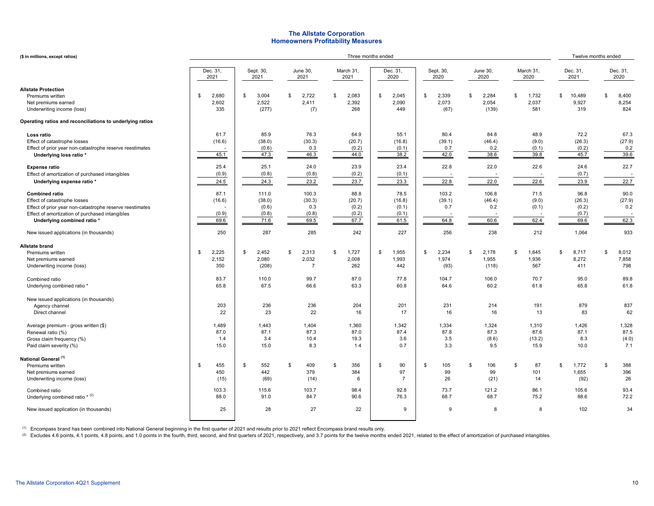## **The Allstate Corporation Homeowners Profitability Measures**

| (\$ in millions, except ratios)                                                                                                                                                                     |                                     |                                           |                                                | Twelve months ended                      |                                          |                                       |                                        |                                     |                                          |                                     |
|-----------------------------------------------------------------------------------------------------------------------------------------------------------------------------------------------------|-------------------------------------|-------------------------------------------|------------------------------------------------|------------------------------------------|------------------------------------------|---------------------------------------|----------------------------------------|-------------------------------------|------------------------------------------|-------------------------------------|
|                                                                                                                                                                                                     | Dec. 31,<br>2021                    | Sept. 30,<br>2021                         | June 30,<br>2021                               | March 31,<br>2021                        | Dec. 31,<br>2020                         | Sept. 30,<br>2020                     | <b>June 30,</b><br>2020                | March 31,<br>2020                   | Dec. 31,<br>2021                         | Dec. 31,<br>2020                    |
| <b>Allstate Protection</b><br>Premiums written<br>Net premiums earned<br>Underwriting income (loss)                                                                                                 | 2,680<br>\$<br>2,602<br>335         | 3,004<br>\$<br>2,522<br>(277)             | 2,722<br>\$<br>2,411<br>(7)                    | 2,083<br>\$<br>2,392<br>268              | \$<br>2,045<br>2,090<br>449              | 2,339<br>\$<br>2,073<br>(67)          | 2,284<br>\$<br>2,054<br>(139)          | \$<br>1,732<br>2,037<br>581         | 10,489<br>\$<br>9,927<br>319             | 8,400<br>\$<br>8,254<br>824         |
| Operating ratios and reconciliations to underlying ratios                                                                                                                                           |                                     |                                           |                                                |                                          |                                          |                                       |                                        |                                     |                                          |                                     |
| Loss ratio<br>Effect of catastrophe losses<br>Effect of prior year non-catastrophe reserve reestimates<br>Underlying loss ratio *                                                                   | 61.7<br>(16.6)<br>45.1              | 85.9<br>(38.0)<br>(0.6)<br>47.3           | 76.3<br>(30.3)<br>0.3<br>46.3                  | 64.9<br>(20.7)<br>(0.2)<br>44.0          | 55.1<br>(16.8)<br>(0.1)<br>38.2          | 80.4<br>(39.1)<br>0.7<br>42.0         | 84.8<br>(46.4)<br>0.2<br>38.6          | 48.9<br>(9.0)<br>(0.1)<br>39.8      | 72.2<br>(26.3)<br>(0.2)<br>45.7          | 67.3<br>(27.9)<br>0.2<br>39.6       |
| <b>Expense ratio</b><br>Effect of amortization of purchased intangibles<br>Underlying expense ratio *                                                                                               | 25.4<br>(0.9)<br>24.5               | 25.1<br>(0.8)<br>24.3                     | 24.0<br>(0.8)<br>23.2                          | 23.9<br>(0.2)<br>23.7                    | 23.4<br>(0.1)<br>23.3                    | 22.8<br>22.8                          | 22.0<br>22.0                           | 22.6<br>22.6                        | 24.6<br>(0.7)<br>23.9                    | 22.7<br>22.7                        |
| <b>Combined ratio</b><br>Effect of catastrophe losses<br>Effect of prior year non-catastrophe reserve reestimates<br>Effect of amortization of purchased intangibles<br>Underlying combined ratio * | 87.1<br>(16.6)<br>(0.9)<br>69.6     | 111.0<br>(38.0)<br>(0.6)<br>(0.8)<br>71.6 | 100.3<br>(30.3)<br>0.3<br>(0.8)<br>69.5        | 88.8<br>(20.7)<br>(0.2)<br>(0.2)<br>67.7 | 78.5<br>(16.8)<br>(0.1)<br>(0.1)<br>61.5 | 103.2<br>(39.1)<br>0.7<br>64.8        | 106.8<br>(46.4)<br>0.2<br>60.6         | 71.5<br>(9.0)<br>(0.1)<br>62.4      | 96.8<br>(26.3)<br>(0.2)<br>(0.7)<br>69.6 | 90.0<br>(27.9)<br>0.2<br>62.3       |
| New issued applications (in thousands)                                                                                                                                                              | 250                                 | 287                                       | 285                                            | 242                                      | 227                                      | 256                                   | 238                                    | 212                                 | 1,064                                    | 933                                 |
| <b>Allstate brand</b><br>Premiums written<br>Net premiums earned<br>Underwriting income (loss)<br>Combined ratio                                                                                    | \$<br>2,225<br>2,152<br>350<br>83.7 | \$<br>2,452<br>2,080<br>(208)<br>110.0    | \$<br>2,313<br>2,032<br>$\overline{7}$<br>99.7 | \$<br>1,727<br>2,008<br>262<br>87.0      | \$<br>1,955<br>1,993<br>442<br>77.8      | \$<br>2,234<br>1,974<br>(93)<br>104.7 | 2,178<br>\$<br>1,955<br>(118)<br>106.0 | \$<br>1,645<br>1,936<br>567<br>70.7 | \$<br>8,717<br>8,272<br>411<br>95.0      | \$<br>8,012<br>7,858<br>798<br>89.8 |
| Underlying combined ratio *                                                                                                                                                                         | 65.8                                | 67.5                                      | 66.6                                           | 63.3                                     | 60.8                                     | 64.6                                  | 60.2                                   | 61.8                                | 65.8                                     | 61.8                                |
| New issued applications (in thousands)<br>Agency channel<br>Direct channel                                                                                                                          | 203<br>22                           | 236<br>23                                 | 236<br>22                                      | 204<br>16                                | 201<br>17                                | 231<br>16                             | 214<br>16                              | 191<br>13                           | 879<br>83                                | 837<br>62                           |
| Average premium - gross written (\$)<br>Renewal ratio (%)<br>Gross claim frequency (%)<br>Paid claim severity (%)                                                                                   | 1,489<br>87.0<br>1.4<br>15.0        | 1,443<br>87.1<br>3.4<br>15.0              | 1,404<br>87.3<br>10.4<br>8.3                   | 1,360<br>87.0<br>19.3<br>1.4             | 1,342<br>87.4<br>3.6<br>0.7              | 1,334<br>87.8<br>3.5<br>3.3           | 1,324<br>87.3<br>(8.6)<br>9.5          | 1,310<br>87.6<br>(13.2)<br>15.9     | 1,426<br>87.1<br>8.3<br>10.0             | 1,328<br>87.5<br>(4.0)<br>7.1       |
| National General <sup>(1)</sup><br>Premiums written<br>Net premiums earned<br>Underwriting income (loss)                                                                                            | \$<br>455<br>450<br>(15)            | \$<br>552<br>442<br>(69)                  | \$<br>409<br>379<br>(14)                       | \$<br>356<br>384<br>6                    | \$<br>90<br>97<br>$\overline{7}$         | \$<br>105<br>99<br>26                 | \$<br>106<br>99<br>(21)                | \$<br>87<br>101<br>14               | \$<br>1,772<br>1,655<br>(92)             | \$<br>388<br>396<br>26              |
| Combined ratio<br>Underlying combined ratio $*$ (2)                                                                                                                                                 | 103.3<br>88.0                       | 115.6<br>91.0                             | 103.7<br>84.7                                  | 98.4<br>90.6                             | 92.8<br>76.3                             | 73.7<br>68.7                          | 121.2<br>68.7                          | 86.1<br>75.2                        | 105.6<br>88.6                            | 93.4<br>72.2                        |
| New issued application (in thousands)                                                                                                                                                               | 25                                  | 28                                        | 27                                             | 22                                       | 9                                        | 9                                     | 8                                      | 8                                   | 102                                      | 34                                  |

 $^{\left(1\right)}$  Encompass brand has been combined into National General beginning in the first quarter of 2021 and results prior to 2021 reflect Encompass brand results only.

(2) Excludes 4.6 points, 4.1 points, 4.8 points, and 1.0 points in the fourth, third, second, and first quarters of 2021, respectively, and 3.7 points for the twelve months ended 2021, related to the effect of amortization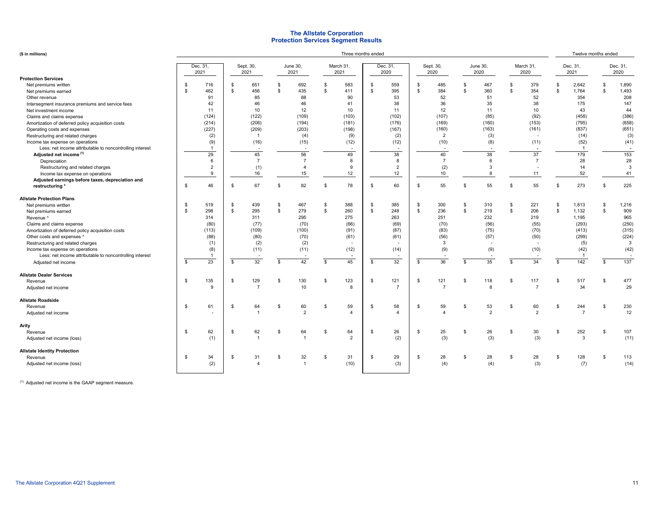#### **The Allstate Corporation Protection Services Segment Results**

|  | $(S \in \mathbb{R})$ |  |
|--|----------------------|--|

| (\$ in millions)                                         | Three months ended |                |                          |                          |                |                  |                    |                          |    |                          |                   |                |                  | Twelve months ended |                    |                |              |                  |                |                  |
|----------------------------------------------------------|--------------------|----------------|--------------------------|--------------------------|----------------|------------------|--------------------|--------------------------|----|--------------------------|-------------------|----------------|------------------|---------------------|--------------------|----------------|--------------|------------------|----------------|------------------|
|                                                          | Dec. 31,<br>2021   |                | Sept. 30,<br>2021        |                          |                | June 30,<br>2021 |                    | March 31,<br>2021        |    | Dec. 31,<br>2020         | Sept. 30,<br>2020 |                | June 30,<br>2020 |                     | March 31,<br>2020  |                |              | Dec. 31,<br>2021 |                | Dec. 31,<br>2020 |
| <b>Protection Services</b>                               |                    |                |                          |                          |                |                  |                    |                          |    |                          |                   |                |                  |                     |                    |                |              |                  |                |                  |
| Net premiums written                                     | \$                 | 716            | \$                       | 651                      | - \$           | 692              | -S                 | 583                      | \$ | 559                      | -\$               | 485            | \$               | 467                 | - \$               | 379            | \$           | 2,642            | -S             | 1,890            |
| Net premiums earned                                      | $\mathbb{S}$       | 462            | \$                       | 456                      | <b>S</b>       | 435              | $\mathbf{\hat{z}}$ | 411                      | \$ | 395                      | $\mathbf{s}$      | 384            | \$               | 360                 | $\mathbf{s}$       | 354            | \$           | 1,764            | \$             | 1,493            |
| Other revenue                                            |                    | 91             |                          | 85                       |                | 88               |                    | 90                       |    | 53                       |                   | 52             |                  | 51                  |                    | 52             |              | 354              |                | 208              |
| Intersegment insurance premiums and service fees         |                    | 42             |                          | 46                       |                | 46               |                    | 41                       |    | 38                       |                   | 36             |                  | 35                  |                    | 38             |              | 175              |                | 147              |
| Net investment income                                    |                    | 11             |                          | 10                       |                | 12               |                    | 10                       |    | 11                       |                   | 12             |                  | 11                  |                    | 10             |              | 43               |                | 44               |
| Claims and claims expense                                |                    | (124)          |                          | (122)                    |                | (109)            |                    | (103)                    |    | (102)                    |                   | (107)          |                  | (85)                |                    | (92)           |              | (458)            |                | (386)            |
| Amortization of deferred policy acquisition costs        |                    | (214)          |                          | (206)                    |                | (194)            |                    | (181)                    |    | (176)                    |                   | (169)          |                  | (160)               |                    | (153)          |              | (795)            |                | (658)            |
| Operating costs and expenses                             |                    | (227)          |                          | (209)                    |                | (203)            |                    | (198)                    |    | (167)                    |                   | (160)          |                  | (163)               |                    | (161)          |              | (837)            |                | (651)            |
| Restructuring and related charges                        |                    | (2)            |                          | $\overline{1}$           |                | (4)              |                    | (9)                      |    | (2)                      |                   | $\overline{2}$ |                  | (3)                 |                    |                |              | (14)             |                | (3)              |
| Income tax expense on operations                         |                    | (9)            |                          | (16)                     |                | (15)             |                    | (12)                     |    | (12)                     |                   | (10)           |                  | (8)                 |                    | (11)           |              | (52)             |                | (41)             |
| Less: net income attributable to noncontrolling interest |                    | -1             |                          | $\overline{\phantom{a}}$ |                |                  |                    | $\overline{\phantom{a}}$ |    | $\blacksquare$           |                   | ۰.             |                  | ٠.                  |                    |                |              | $\overline{1}$   |                |                  |
| Adjusted net income <sup>(1)</sup>                       |                    | 29             |                          | 45                       |                | 56               |                    | 49                       |    | 38                       |                   | 40             |                  | 38                  |                    | 37             |              | 179              |                | 153              |
| Depreciation                                             |                    | 6              |                          | $\overline{7}$           |                | $\overline{7}$   |                    | 8                        |    | 8                        |                   | $\overline{7}$ |                  | 6                   |                    | $\overline{7}$ |              | 28               |                | 28               |
| Restructuring and related charges                        |                    | $\overline{2}$ |                          | (1)                      |                | $\overline{4}$   |                    | 9                        |    | $\overline{2}$           |                   | (2)            |                  | 3                   |                    |                |              | 14               |                | 3                |
| Income tax expense on operations                         |                    | 9              |                          | 16                       |                | 15               |                    | 12                       |    | 12                       |                   | 10             |                  | 8                   |                    | 11             |              | 52               |                | 41               |
| Adjusted earnings before taxes, depreciation and         |                    |                |                          |                          |                |                  |                    |                          |    |                          |                   |                |                  |                     |                    |                |              |                  |                |                  |
| restructuring *                                          | - \$               | 46             | \$                       | 67                       | $\mathfrak{s}$ | 82               | \$                 | 78                       | \$ | 60                       | \$                | 55             | \$               | 55                  | $\mathbf{\hat{z}}$ | 55             | \$           | 273              | -S             | 225              |
| <b>Allstate Protection Plans</b>                         |                    |                |                          |                          |                |                  |                    |                          |    |                          |                   |                |                  |                     |                    |                |              |                  |                |                  |
| Net premiums written                                     | \$                 | 519            | \$                       | 439                      | \$             | 467              | \$                 | 388                      | \$ | 385                      | -\$               | 300            | \$               | 310                 | <b>S</b>           | 221            | \$           | 1,813            | \$             | 1,216            |
| Net premiums earned                                      | $\mathbb{S}$       | 298            | \$                       | 295                      | $\mathbb{S}$   | 279              | \$                 | 260                      | \$ | 248                      | $\mathbf{s}$      | 236            | \$               | 219                 | \$                 | 206            | \$           | 1,132            | \$             | 909              |
| Revenue <sup>^</sup>                                     |                    | 314            |                          | 311                      |                | 295              |                    | 275                      |    | 263                      |                   | 251            |                  | 232                 |                    | 219            |              | 1,195            |                | 965              |
| Claims and claims expense                                |                    | (80)           |                          | (77)                     |                | (70)             |                    | (66)                     |    | (69)                     |                   | (70)           |                  | (56)                |                    | (55)           |              | (293)            |                | (250)            |
| Amortization of deferred policy acquisition costs        |                    | (113)          |                          | (109)                    |                | (100)            |                    | (91)                     |    | (87)                     |                   | (83)           |                  | (75)                |                    | (70)           |              | (413)            |                | (315)            |
| Other costs and expenses ^                               |                    | (88)           |                          | (80)                     |                | (70)             |                    | (61)                     |    | (61)                     |                   | (56)           |                  | (57)                |                    | (50)           |              | (299)            |                | (224)            |
| Restructuring and related charges                        |                    | (1)            |                          | (2)                      |                | (2)              |                    |                          |    |                          |                   | 3              |                  |                     |                    |                |              | (5)              |                | 3                |
| Income tax expense on operations                         |                    | (8)            |                          | (11)                     |                | (11)             |                    | (12)                     |    | (14)                     |                   | (9)            |                  | (9)                 |                    | (10)           |              | (42)             |                | (42)             |
| Less: net income attributable to noncontrolling interest |                    | -1             |                          |                          |                |                  |                    |                          |    | $\overline{\phantom{a}}$ |                   |                |                  |                     |                    |                |              | $\mathbf{1}$     |                | $\sim$           |
| Adjusted net income                                      | \$                 | 23             | $\overline{\mathcal{S}}$ | 32                       | $\mathbf{s}$   | 42               | \$                 | 45                       | \$ | 32                       | \$                | 36             | \$               | 35                  | $\mathbf{\hat{z}}$ | 34             | $\mathbf{s}$ | 142              | \$             | 137              |
| <b>Allstate Dealer Services</b>                          |                    |                |                          |                          |                |                  |                    |                          |    |                          |                   |                |                  |                     |                    |                |              |                  |                |                  |
| Revenue                                                  | <b>S</b>           | 135            | \$                       | 129                      | - \$           | 130              | \$                 | 123                      | \$ | 121                      | \$                | 121            | \$               | 118                 | Ŝ.                 | 117            | $\mathbf{s}$ | 517              | $\mathfrak{s}$ | 477              |
| Adjusted net income                                      |                    | 9              |                          | $\overline{7}$           |                | 10               |                    | 8                        |    | $\overline{7}$           |                   | $\overline{7}$ |                  | 8                   |                    | $\overline{7}$ |              | 34               |                | 29               |
| <b>Allstate Roadside</b>                                 |                    |                |                          |                          |                |                  |                    |                          |    |                          |                   |                |                  |                     |                    |                |              |                  |                |                  |
| Revenue                                                  | \$                 | 61             | \$                       | 64                       | - \$           | 60               | S                  | 59                       | \$ | 58                       | -\$               | 59             | \$               | 53                  | -S                 | 60             | \$           | 244              | \$             | 230              |
| Adjusted net income                                      |                    |                |                          | $\overline{1}$           |                | $\overline{2}$   |                    | $\overline{4}$           |    | $\overline{\mathbf{A}}$  |                   | $\overline{4}$ |                  | $\overline{2}$      |                    | $\overline{2}$ |              | $\overline{7}$   |                | 12               |
| Arity                                                    |                    |                |                          |                          |                |                  |                    |                          |    |                          |                   |                |                  |                     |                    |                |              |                  |                |                  |
| Revenue                                                  | - \$               | 62             | S.                       | 62                       | $\mathfrak{s}$ | 64               | \$                 | 64                       | \$ | 26                       | \$                | 25             | \$               | 26                  | - \$               | 30             | \$           | 252              | -S             | 107              |
| Adjusted net income (loss)                               |                    | (1)            |                          |                          |                | ×                |                    | $\overline{2}$           |    | (2)                      |                   | (3)            |                  | (3)                 |                    | (3)            |              | 3                |                | (11)             |
| <b>Allstate Identity Protection</b>                      |                    |                |                          |                          |                |                  |                    |                          |    |                          |                   |                |                  |                     |                    |                |              |                  |                |                  |
| Revenue                                                  | - \$               | 34             | S.                       | 31                       | $\mathfrak{s}$ | 32               | \$                 | 31                       | \$ | 29                       | <sup>\$</sup>     | 28             | \$               | 28                  | - \$               | 28             | $\mathbf{s}$ | 128              | -S             | 113              |
| Adjusted net income (loss)                               |                    | (2)            |                          | $\lambda$                |                | $\overline{1}$   |                    | (10)                     |    | (3)                      |                   | (4)            |                  | (4)                 |                    | (3)            |              | (7)              |                | (14)             |
|                                                          |                    |                |                          |                          |                |                  |                    |                          |    |                          |                   |                |                  |                     |                    |                |              |                  |                |                  |

(1) Adjusted net income is the GAAP segment measure.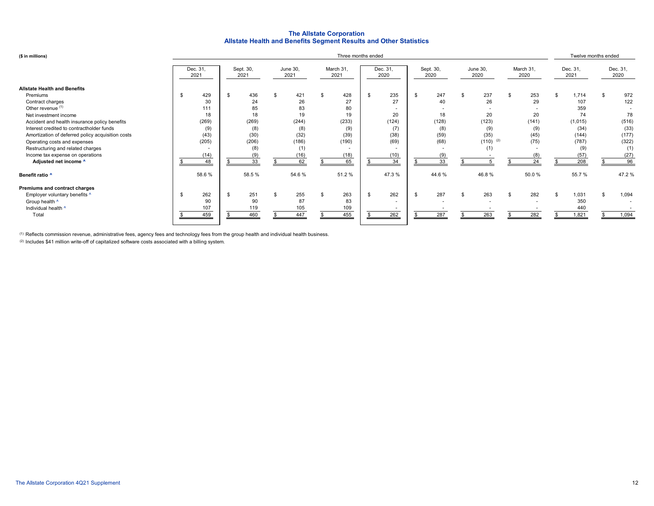## **The Allstate Corporation Allstate Health and Benefits Segment Results and Other Statistics**

| (\$ in millions)                                                                                                                                                                                                                                                                                                                                                              | Three months ended |                                                                      |     |                                                                      |    |                                                                       |  |                                                                |    |                                                         |                |                                                                             |  | Twelve months ended                                           |                                                        |    |                                                                               |     |                                                                    |
|-------------------------------------------------------------------------------------------------------------------------------------------------------------------------------------------------------------------------------------------------------------------------------------------------------------------------------------------------------------------------------|--------------------|----------------------------------------------------------------------|-----|----------------------------------------------------------------------|----|-----------------------------------------------------------------------|--|----------------------------------------------------------------|----|---------------------------------------------------------|----------------|-----------------------------------------------------------------------------|--|---------------------------------------------------------------|--------------------------------------------------------|----|-------------------------------------------------------------------------------|-----|--------------------------------------------------------------------|
|                                                                                                                                                                                                                                                                                                                                                                               |                    | Dec. 31,<br>2021                                                     |     | Sept. 30,<br>2021                                                    |    | June 30,<br>2021                                                      |  | March 31,<br>2021                                              |    | Dec. 31,<br>2020                                        |                | Sept. 30,<br>2020                                                           |  | June 30,<br>2020                                              | March 31,<br>2020                                      |    | Dec. 31,<br>2021                                                              |     | Dec. 31,<br>2020                                                   |
| <b>Allstate Health and Benefits</b><br>Premiums<br>Contract charges<br>Other revenue (1)<br>Net investment income<br>Accident and health insurance policy benefits<br>Interest credited to contractholder funds<br>Amortization of deferred policy acquisition costs<br>Operating costs and expenses<br>Restructuring and related charges<br>Income tax expense on operations |                    | 429<br>30<br>111<br>18<br>(269)<br>(9)<br>(43)<br>(205)<br>-<br>(14) | \$  | 436<br>24<br>85<br>18<br>(269)<br>(8)<br>(30)<br>(206)<br>(8)<br>(9) |    | 421<br>26<br>83<br>19<br>(244)<br>(8)<br>(32)<br>(186)<br>(1)<br>(16) |  | 428<br>27<br>80<br>19<br>(233)<br>(9)<br>(39)<br>(190)<br>(18) | \$ | 235<br>27<br>20<br>(124)<br>(7)<br>(38)<br>(69)<br>(10) | $\mathfrak{s}$ | 247<br>40<br>18<br>(128)<br>(8)<br>(59)<br>(68)<br>$\overline{\phantom{a}}$ |  | 237<br>26<br>20<br>(123)<br>(9)<br>(35)<br>$(110)$ (2)<br>(1) | 253<br>29<br>20<br>(141)<br>(9)<br>(45)<br>(75)<br>(8) | \$ | 1,714<br>107<br>359<br>74<br>(1,015)<br>(34)<br>(144)<br>(787)<br>(9)<br>(57) | -8  | 972<br>122<br>78<br>(516)<br>(33)<br>(177)<br>(322)<br>(1)<br>(27) |
| Adjusted net income ^<br>Benefit ratio ^                                                                                                                                                                                                                                                                                                                                      |                    | 48<br>58.6%                                                          |     | 33<br>58.5 %                                                         |    | 62<br>54.6%                                                           |  | 65<br>51.2%                                                    |    | 34<br>47.3%                                             |                | 33<br>44.6%                                                                 |  | 46.8%                                                         | 24<br>50.0%                                            |    | 208<br>55.7%                                                                  |     | 96<br>47.2%                                                        |
| Premiums and contract charges<br>Employer voluntary benefits ^<br>Group health ^<br>Individual health ^<br>Total                                                                                                                                                                                                                                                              | \$                 | 262<br>90<br>107<br>459                                              | \$. | 251<br>90<br>119<br>460                                              | £. | 255<br>87<br>105<br>447                                               |  | 263<br>83<br>109<br>455                                        | \$ | 262<br>$\overline{a}$<br>262                            | $\mathfrak{L}$ | 287<br>$\sim$<br>287                                                        |  | 263<br>$\overline{a}$<br>263                                  | 282<br>282                                             | £. | 1,031<br>350<br>440<br>1,821                                                  | . ድ | 1,094<br>1,094                                                     |

(1) Reflects commission revenue, administrative fees, agency fees and technology fees from the group health and individual health business.

 $^{(2)}$  Includes \$41 million write-off of capitalized software costs associated with a billing system.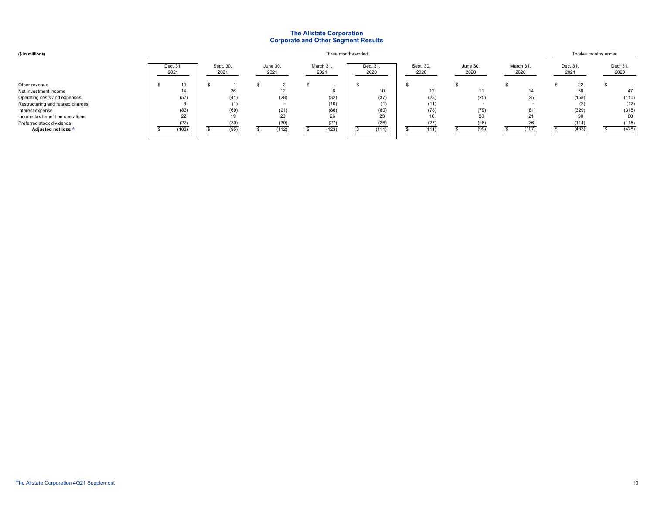#### **The Allstate Corporation Corporate and Other Segment Results**

| (\$ in millions)                  |                  |                   |                  | Three months ended |                  |                   |                  |                   | Twelve months ended |                  |  |                  |
|-----------------------------------|------------------|-------------------|------------------|--------------------|------------------|-------------------|------------------|-------------------|---------------------|------------------|--|------------------|
|                                   | Dec. 31,<br>2021 | Sept. 30,<br>2021 | June 30,<br>2021 | March 31,<br>2021  | Dec. 31,<br>2020 | Sept. 30,<br>2020 | June 30,<br>2020 | March 31,<br>2020 |                     | Dec. 31,<br>2021 |  | Dec. 31,<br>2020 |
| Other revenue                     | 19               |                   |                  |                    |                  |                   |                  |                   |                     | 22               |  |                  |
| Net investment income             | 14               | 26                | 12 <sup>°</sup>  |                    | 10               | 12                | 11               | 14                |                     | 58               |  | 47               |
| Operating costs and expenses      | (57)             | (41)              | (28)             | (32)               | (37)             | (23)              | (25)             | (25)              |                     | (158)            |  | (110)            |
| Restructuring and related charges |                  | (1)               |                  | (10)               | (1)              | (11)              |                  |                   |                     | (2)              |  | (12)             |
| Interest expense                  | (83)             | (69)              | (91)             | (86)               | (80)             | (78)              | (79)             | (81)              |                     | (329)            |  | (318)            |
| Income tax benefit on operations  | 22               | 19                | 23               | 26                 | 23               | 16                | 20               | 21                |                     |                  |  | 80               |
| Preferred stock dividends         | (27)             | (30)              | (30)             | (27)               | (26)             | (27)              | (26)             | (36)              |                     | (114)            |  | (115)            |
| Adjusted net loss ^               | (103)            | (95)              | (112)            | (123)              | (111)            | (111)             | (99)             | (107)             |                     | (433)            |  | (428)            |
|                                   |                  |                   |                  |                    |                  |                   |                  |                   |                     |                  |  |                  |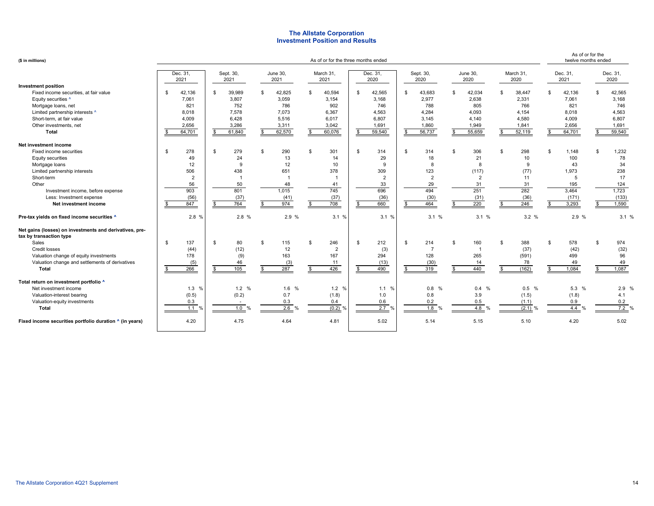#### **Investment Position and Results The Allstate Corporation**

| (\$ in millions)                                                                   |                  | As of or for the<br>twelve months ended |                  |                   |                     |                   |                      |                   |                  |                     |
|------------------------------------------------------------------------------------|------------------|-----------------------------------------|------------------|-------------------|---------------------|-------------------|----------------------|-------------------|------------------|---------------------|
|                                                                                    | Dec. 31,<br>2021 | Sept. 30,<br>2021                       | June 30,<br>2021 | March 31,<br>2021 | Dec. 31,<br>2020    | Sept. 30,<br>2020 | June 30,<br>2020     | March 31.<br>2020 | Dec. 31,<br>2021 | Dec. 31,<br>2020    |
| <b>Investment position</b>                                                         |                  |                                         |                  |                   |                     |                   |                      |                   |                  |                     |
| Fixed income securities, at fair value                                             | 42,136           | S.<br>39,989                            | 42,825<br>\$.    | \$<br>40,594      | 42,565<br>\$.       | 43,683<br>S.      | 42,034<br>s.         | 38,447<br>\$      | 42,136<br>£.     | 42,565<br>\$.       |
| Equity securities ^                                                                | 7,061            | 3,807                                   | 3,059            | 3,154             | 3,168               | 2,977             | 2,638                | 2,331             | 7,061            | 3,168               |
| Mortgage loans, net                                                                | 821              | 752                                     | 786              | 902               | 746                 | 788               | 805                  | 766               | 821              | 746                 |
| Limited partnership interests ^                                                    | 8,018            | 7,578                                   | 7,073            | 6,367             | 4,563               | 4,284             | 4,093                | 4,154             | 8,018            | 4,563               |
| Short-term, at fair value                                                          | 4.009            | 6.428                                   | 5.516            | 6,017             | 6.807               | 3.145             | 4,140                | 4.580             | 4.009            | 6.807               |
| Other investments, net                                                             | 2,656            | 3,286                                   | 3,311            | 3,042             | 1,691               | 1,860             | 1,949                | 1,841             | 2,656            | 1,691               |
| <b>Total</b>                                                                       | 64,701           | 61,840<br>-S                            | 62,570           | 60,076<br>\$      | 59,540<br>\$        | 56,737<br>\$      | 55,659<br>s.         | 52,119            | 64,701<br>-S     | 59,540<br>£.        |
| Net investment income                                                              |                  |                                         |                  |                   |                     |                   |                      |                   |                  |                     |
| Fixed income securities                                                            | 278<br>-S        | 279<br>$\mathbb{S}$                     | 290<br>\$        | \$<br>301         | $\mathbf{s}$<br>314 | S.<br>314         | 306<br>\$            | 298<br>\$         | \$<br>1,148      | \$<br>1,232         |
| Equity securities                                                                  | 49               | 24                                      | 13               | 14                | 29                  | 18                | 21                   | 10                | 100              | 78                  |
| Mortgage loans                                                                     | 12               | 9                                       | 12               | 10                | 9                   | 8                 | 8                    | 9                 | 43               | 34                  |
| Limited partnership interests                                                      | 506              | 438                                     | 651              | 378               | 309                 | 123               | (117)                | (77)              | 1,973            | 238                 |
| Short-term                                                                         | $\overline{2}$   |                                         |                  | $\overline{1}$    | $\overline{2}$      | $\overline{2}$    | $\overline{2}$       | 11                | 5                | 17                  |
| Other                                                                              | 56               | 50                                      | 48               | 41                | 33                  | 29                | 31                   | 31                | 195              | 124                 |
| Investment income, before expense                                                  | 903              | 801                                     | 1,015            | 745               | 696                 | 494               | 251                  | 282               | 3,464            | 1,723               |
| Less: Investment expense                                                           | (56)             | (37)                                    | (41)             | (37)              | (36)                | (30)              | (31)                 | (36)              | (171)            | (133)               |
| Net investment income                                                              | 847              | 764                                     | 974              | 708               | 660                 | 464               | 220                  | 246               | 3,293            | 1,590               |
| Pre-tax yields on fixed income securities ^                                        | 2.8 %            | 2.8 %                                   | 2.9 %            | 3.1%              | 3.1%                | 3.1 %             | 3.1%                 | 3.2%              | 2.9 %            | 3.1%                |
| Net gains (losses) on investments and derivatives, pre-<br>tax by transaction type |                  |                                         |                  |                   |                     |                   |                      |                   |                  |                     |
| Sales                                                                              | \$<br>137        | \$<br>80                                | 115<br>\$        | \$<br>246         | \$<br>212           | \$<br>214         | \$.<br>160           | 388<br>\$         | 578<br>\$        | $\mathbb{S}$<br>974 |
| Credit losses                                                                      | (44)             | (12)                                    | 12               | $\overline{2}$    | (3)                 |                   | $\overline{1}$       | (37)              | (42)             | (32)                |
| Valuation change of equity investments                                             | 178              | (9)                                     | 163              | 167               | 294                 | 128               | 265                  | (591)             | 499              | 96                  |
| Valuation change and settlements of derivatives                                    | (5)              | 46                                      | (3)              | 11                | (13)                | (30)              | 14                   | 78                | 49               | 49                  |
| Total                                                                              | 266              | 105                                     | 287              | 426               | 490                 | 319<br>\$         | 440<br>£.            | (162)             | 1.084<br>\$.     | 1,087<br>\$.        |
| Total return on investment portfolio ^                                             |                  |                                         |                  |                   |                     |                   |                      |                   |                  |                     |
| Net investment income                                                              | 1.3%             | 1.2%                                    | 1.6 %            | 1.2 %             | 1.1 %               | 0.8%              | 0.4 %                | $0.5\%$           | 5.3 %            | 2.9%                |
| Valuation-interest bearing                                                         | (0.5)            | (0.2)                                   | 0.7              | (1.8)             | 1.0                 | 0.8               | 3.9                  | (1.5)             | (1.8)            | 4.1                 |
| Valuation-equity investments                                                       | 0.3              |                                         | 0.3              | 0.4               | 0.6                 | 0.2               | 0.5                  | (1.1)             | 0.9              | 0.2                 |
| Total                                                                              | 1.1              | 1.0<br>$\frac{0}{0}$                    | 2.6<br>%         | $(0.2)$ %         | 2.7%                | 1.8 %             | 4.8<br>$\frac{0}{0}$ | (2.1)             | 4.4              | 7.2%                |
| Fixed income securities portfolio duration ^ (in years)                            | 4.20             | 4.75                                    | 4.64             | 4.81              | 5.02                | 5.14              | 5.15                 | 5.10              | 4.20             | 5.02                |
|                                                                                    |                  |                                         |                  |                   |                     |                   |                      |                   |                  |                     |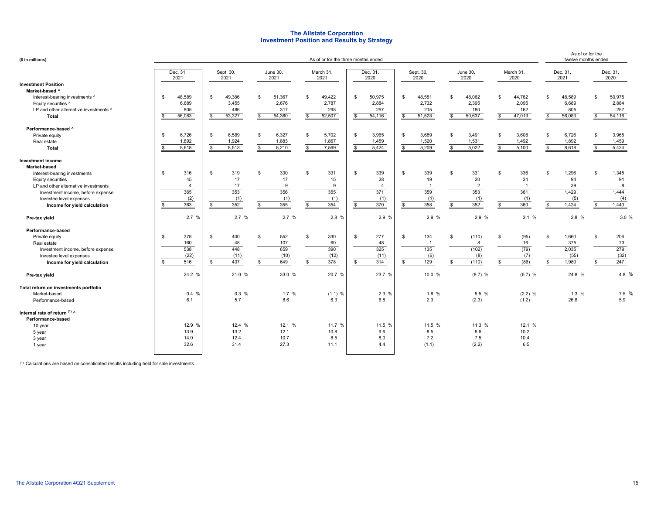#### **Investment Position and Results by Strategy The Allstate Corporation**

| (\$ in millions)                                                                                                                                                                                                                      |                                                          |                                                |                                              | As of or for the three months ended                    |                                                               |                                              |                                                              |                                              | As of or for the<br>twelve months ended          |                                                 |
|---------------------------------------------------------------------------------------------------------------------------------------------------------------------------------------------------------------------------------------|----------------------------------------------------------|------------------------------------------------|----------------------------------------------|--------------------------------------------------------|---------------------------------------------------------------|----------------------------------------------|--------------------------------------------------------------|----------------------------------------------|--------------------------------------------------|-------------------------------------------------|
|                                                                                                                                                                                                                                       | Dec. 31,<br>2021                                         | Sept. 30,<br>2021                              | June 30,<br>2021                             | March 31,<br>2021                                      | Dec. 31,<br>2020                                              | Sept. 30,<br>2020                            | June 30,<br>2020                                             | March 31,<br>2020                            | Dec. 31,<br>2021                                 | Dec. 31,<br>2020                                |
| <b>Investment Position</b><br>Market-based ^<br>Interest-bearing investments ^<br>Equity securities ^<br>LP and other alternative investments ^<br>Total                                                                              | 48,589<br>\$<br>6,689<br>805<br>56,083<br>\$             | 49,386<br>\$<br>3,455<br>486<br>53,327<br>\$   | 51,367<br>\$<br>2.676<br>317<br>54,360<br>\$ | 49,422<br>$\mathbf{s}$<br>2,787<br>298<br>52,507<br>\$ | 50,975<br>\$<br>2.884<br>257<br>54,116<br>\$                  | 48,581<br>\$<br>2,732<br>215<br>51,528<br>s. | 48,062<br>-\$<br>2,395<br>180<br>50,637<br>\$                | \$<br>44,762<br>2,095<br>162<br>47,019<br>\$ | 48,589<br>\$<br>6,689<br>805<br>56,083<br>\$     | 50,975<br>\$<br>2,884<br>257<br>54,116<br>s.    |
| Performance-based ^<br>Private equity<br>Real estate<br>Total                                                                                                                                                                         | \$<br>6,726<br>1,892<br>8,618<br>\$                      | \$<br>6,589<br>1,924<br>8,513<br>$\mathcal{F}$ | \$<br>6,327<br>1,883<br>8,210                | 5,702<br>\$<br>1,867<br>7,569                          | 3,965<br>\$<br>1,459<br>5,424<br>\$                           | 3,689<br>\$<br>1,520<br>5,209                | 3,491<br>\$<br>1,531<br>5,022<br>\$                          | \$<br>3,608<br>1,492<br>5,100<br>\$          | \$<br>6,726<br>1,892<br>8,618<br>\$              | \$<br>3,965<br>1,459<br>5,424                   |
| <b>Investment income</b><br>Market-based<br>Interest-bearing investments<br>Equity securities<br>LP and other alternative investments<br>Investment income, before expense<br>Investee level expenses<br>Income for yield calculation | s.<br>316<br>45<br>$\overline{A}$<br>365<br>(2)<br>363   | \$<br>319<br>17<br>17<br>353<br>(1)<br>352     | \$<br>330<br>17<br>9<br>356<br>(1)<br>355    | \$<br>331<br>15<br>9<br>355<br>(1)<br>354              | \$<br>339<br>28<br>$\overline{4}$<br>371<br>(1)<br>370<br>\$. | \$<br>339<br>19<br>359<br>(1)<br>358         | S.<br>331<br>20<br>$\overline{2}$<br>353<br>(1)<br>352       | \$<br>336<br>24<br>361<br>(1)<br>360         | \$<br>1,296<br>94<br>39<br>1,429<br>(5)<br>1,424 | \$<br>1,345<br>91<br>8<br>1,444<br>(4)<br>1,440 |
| Pre-tax yield                                                                                                                                                                                                                         | 2.7%                                                     | 2.7 %                                          | 2.7%                                         | 2.8 %                                                  | 2.9 %                                                         | 2.9 %                                        | 2.9 %                                                        | 3.1%                                         | 2.8 %                                            | 3.0 %                                           |
| Performance-based<br>Private equity<br>Real estate<br>Investment income, before expense<br>Investee level expenses<br>Income for yield calculation                                                                                    | \$<br>378<br>160<br>538<br>(22)<br>516<br>$\mathfrak{L}$ | 400<br>\$<br>48<br>448<br>(11)<br>437<br>-\$   | 552<br>\$<br>107<br>659<br>(10)<br>649       | \$<br>330<br>60<br>390<br>(12)<br>378                  | 277<br>\$<br>48<br>325<br>(11)<br>314<br>\$                   | 134<br>s.<br>135<br>(6)<br>129               | (110)<br>-\$<br>8<br>(102)<br>(8)<br>(110)<br>$\mathfrak{L}$ | \$<br>(95)<br>16<br>(79)<br>(7)<br>(86)      | \$<br>1,660<br>375<br>2.035<br>(55)<br>1,980     | \$<br>206<br>73<br>279<br>(32)<br>247           |
| Pre-tax yield                                                                                                                                                                                                                         | 24.2 %                                                   | 21.0 %                                         | 33.0 %                                       | 20.7 %                                                 | 23.7 %                                                        | 10.0 %                                       | $(8.7)$ %                                                    | $(6.7)$ %                                    | 24.8 %                                           | 4.8 %                                           |
| Total return on investments portfolio<br>Market-based<br>Performance-based                                                                                                                                                            | 0.4%<br>6.1                                              | 0.3%<br>5.7                                    | 1.7%<br>8.6                                  | $(1.1)$ %<br>6.3                                       | 2.3 %<br>6.8                                                  | 1.8 %<br>2.3                                 | 5.5 %<br>(2.3)                                               | $(2.2)$ %<br>(1.2)                           | 1.3%<br>26.8                                     | 7.5 %<br>5.9                                    |
| Internal rate of return (1) ^<br>Performance-based<br>10 year<br>5 year<br>3 year<br>1 year                                                                                                                                           | 12.9 %<br>13.9<br>14.0<br>32.6                           | 12.4 %<br>13.2<br>12.4<br>31.4                 | 12.1 %<br>12.1<br>10.7<br>27.3               | 11.7 %<br>10.8<br>8.5<br>11.1                          | 11.5 %<br>9.6<br>8.0<br>4.4                                   | 11.5 %<br>8.5<br>7.2<br>(1.1)                | 11.3 %<br>8.6<br>7.5<br>(2.2)                                | 12.1 %<br>10.2<br>10.4<br>6.5                |                                                  |                                                 |

 $(1)$  Calculations are based on consolidated results including held for sale investments.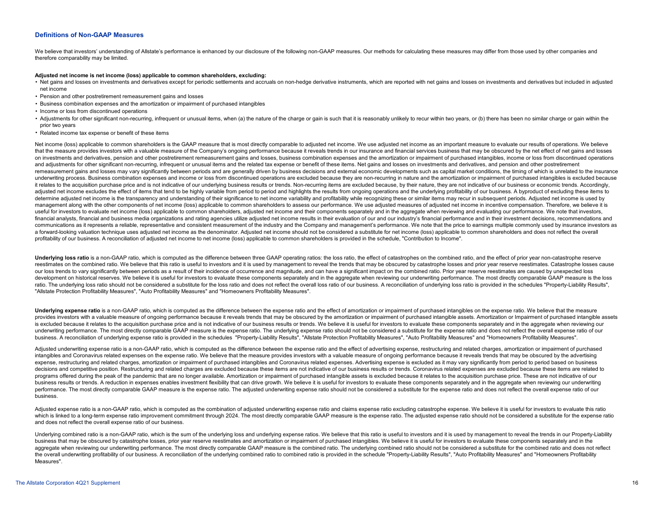#### **Definitions of Non-GAAP Measures**

We believe that investors' understanding of Allstate's performance is enhanced by our disclosure of the following non-GAAP measures. Our methods for calculating these measures may differ from those used by other companies therefore comparability may be limited.

#### **Adjusted net income is net income (loss) applicable to common shareholders, excluding:**

- . Net gains and losses on investments and derivatives except for periodic settlements and accruals on non-hedge derivative instruments, which are reported with net gains and losses on investments and derivatives but includ net income
- Pension and other postretirement remeasurement gains and losses
- Business combination expenses and the amortization or impairment of purchased intangibles
- Income or loss from discontinued operations
- . Adjustments for other significant non-recurring, infrequent or unusual items, when (a) the nature of the charge or gain is such that it is reasonably unlikely to recur within two years, or (b) there has been no similar c prior two years
- Related income tax expense or benefit of these items

Net income (loss) applicable to common shareholders is the GAAP measure that is most directly comparable to adjusted net income. We use adjusted net income as an important measure to evaluate our results of operations. We that the measure provides investors with a valuable measure of the Company's ongoing performance because it reveals trends in our insurance and financial services business that may be obscured by the net effect of net gain on investments and derivatives, pension and other postretirement remeasurement gains and losses, business combination expenses and the amortization or impairment of purchased intangibles, income or loss from discontinued o and adjustments for other significant non-recurring, infrequent or unusual items and the related tax expense or benefit of these items. Net gains and losses on investments and derivatives, and pension and other postretirem remeasurement gains and losses may vary significantly between periods and are generally driven by business decisions and external economic developments such as capital market conditions, the timing of which is unrelated to underwriting process. Business combination expenses and income or loss from discontinued operations are excluded because they are non-recurring in nature and the amortization or impairment of purchased intangibles is exclu it relates to the acquisition purchase price and is not indicative of our underlying business results or trends. Non-recurring items are excluded because, by their nature, they are not indicative of our business or economi adjusted net income excludes the effect of items that tend to be highly variable from period to period and highlights the results from ongoing operations and the underlying profitability of our business. A byproduct of exc determine adjusted net income is the transparency and understanding of their significance to net income variability and profitability while recognizing these or similar items may recur in subsequent periods. Adjusted net i management along with the other components of net income (loss) applicable to common shareholders to assess our performance. We use adjusted measures of adjusted net income in incentive compensation. Therefore, we believe useful for investors to evaluate net income (loss) applicable to common shareholders, adjusted net income and their components separately and in the aggregate when reviewing and evaluating our performance. We note that inv financial analysts, financial and business media organizations and rating agencies utilize adiusted net income results in their evaluation of our and our industry's financial performance and in their investment decisions, communications as it represents a reliable, representative and consistent measurement of the industry and the Company and management's performance. We note that the price to earnings multiple commonly used by insurance inv a forward-looking valuation technique uses adjusted net income as the denominator. Adjusted net income should not be considered a substitute for net income (loss) applicable to common shareholders and does not reflect the profitability of our business. A reconciliation of adjusted net income to net income (loss) applicable to common shareholders is provided in the schedule, "Contribution to Income".

Underlying loss ratio is a non-GAAP ratio, which is computed as the difference between three GAAP operating ratios: the loss ratio, the effect of catastrophes on the combined ratio, and the effect of prior year non-catastr reestimates on the combined ratio. We believe that this ratio is useful to investors and it is used by management to reveal the trends that may be obscured by catastrophe losses and prior year reserve reestimates. Catastro our loss trends to vary significantly between periods as a result of their incidence of occurrence and magnitude, and can have a significant impact on the combined ratio. Prior year reserve reestimates are caused by unexpe development on historical reserves. We believe it is useful for investors to evaluate these components separately and in the aggregate when reviewing our underwriting performance. The most directly comparable GAAP measure ratio. The underlying loss ratio should not be considered a substitute for the loss ratio and does not reflect the overall loss ratio of our business. A reconciliation of underlying loss ratio is provided in the schedules "Allstate Protection Profitability Measures", "Auto Profitability Measures" and "Homeowners Profitability Measures".

Underlying expense ratio is a non-GAAP ratio, which is computed as the difference between the expense ratio and the effect of amortization or impairment of purchased intangibles on the expense ratio. We believe that the me provides investors with a valuable measure of ongoing performance because it reveals trends that may be obscured by the amortization or impairment of purchased intangible assets. Amortization or Impairment of purchased int is excluded because it relates to the acquisition purchase price and is not indicative of our business results or trends. We believe it is useful for investors to evaluate these components separately and in the aggregate w underwriting performance. The most directly comparable GAAP measure is the expense ratio. The underlying expense ratio should not be considered a substitute for the expense ratio and does not reflect the overall expense ra business. A reconciliation of underlying expense ratio is provided in the schedules "Property-Liability Results". "Allstate Protection Profitability Measures". "Auto Profitability Measures" and "Homeowners Profitability Me

Adjusted underwriting expense ratio is a non-GAAP ratio, which is computed as the difference between the expense ratio and the effect of advertising expense, restructuring and related charges, amortization or impairment of intangibles and Coronavirus related expenses on the expense ratio. We believe that the measure provides investors with a valuable measure of ongoing performance because it reveals trends that may be obscured by the adverti expense, restructuring and related charges, amortization or impairment of purchased intangibles and Coronavirus related expenses. Advertising expense is excluded as it may vary significantly from period to period based on decisions and competitive position. Restructuring and related charges are excluded because these items are not indicative of our business results or trends. Coronavirus related expenses are excluded because these items are programs offered during the peak of the pandemic that are no longer available. Amortization or impairment of purchased intangible assets is excluded because it relates to the acquisition purchase price. These are not indic business results or trends. A reduction in expenses enables investment flexibility that can drive growth. We believe it is useful for investors to evaluate these components separately and in the aggregate when reviewing ou performance. The most directly comparable GAAP measure is the expense ratio. The adjusted underwriting expense ratio should not be considered a substitute for the expense ratio and does not reflect the overall expense rati business.

Adjusted expense ratio is a non-GAAP ratio, which is computed as the combination of adjusted underwriting expense ratio and claims expense ratio excluding catastrophe expense. We believe it is useful for investors to evalu which is linked to a long-term expense ratio improvement commitment through 2024. The most directly comparable GAAP measure is the expense ratio. The adjusted expense ratio should not be considered a substitute for the exp and does not reflect the overall expense ratio of our business.

Underlying combined ratio is a non-GAAP ratio, which is the sum of the underlying loss and underlying expense ratios. We believe that this ratio is useful to investors and it is used by management to reveal the trends in o business that may be obscured by catastrophe losses, prior year reserve reestimates and amortization or impairment of purchased intangibles. We believe it is useful for investors to evaluate these components separately and aggregate when reviewing our underwriting performance. The most directly comparable GAAP measure is the combined ratio. The underlying combined ratio should not be considered a substitute for the combined ratio and does no the overall underwriting profitability of our business. A reconciliation of the underlying combined ratio to combined ratio is provided in the schedule "Property-Liability Results", "Auto Profitability Measures" and "Homeo Measures".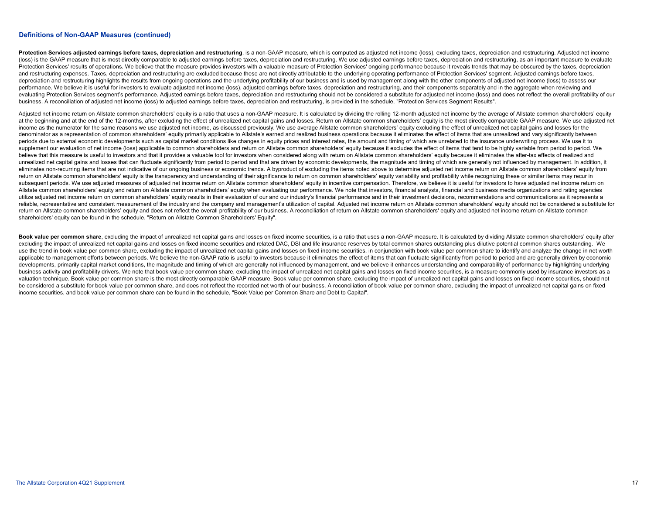#### **Definitions of Non-GAAP Measures (continued)**

Protection Services adjusted earnings before taxes, depreciation and restructuring, is a non-GAAP measure, which is computed as adjusted net income (loss), excluding taxes, depreciation and restructuring. Adjusted net inco (loss) is the GAAP measure that is most directly comparable to adjusted earnings before taxes, depreciation and restructuring. We use adjusted earnings before taxes, depreciation and restructuring, as an important measure Protection Services' results of operations. We believe that the measure provides investors with a valuable measure of Protection Services' ongoing performance because it reveals trends that may be obscured by the taxes, de and restructuring expenses. Taxes, depreciation and restructuring are excluded because these are not directly attributable to the underlying operating performance of Protection Services' segment. Adjusted earnings before t depreciation and restructuring highlights the results from ongoing operations and the underlying profitability of our business and is used by management along with the other components of adjusted net income (loss) to asse performance. We believe it is useful for investors to evaluate adjusted net income (loss), adjusted earnings before taxes, depreciation and restructuring, and their components separately and in the aggregate when reviewing evaluating Protection Services segment's performance. Adjusted earnings before taxes, depreciation and restructuring should not be considered a substitute for adjusted net income (loss) and does not reflect the overall pro business. A reconciliation of adjusted net income (loss) to adjusted earnings before taxes, depreciation and restructuring, is provided in the schedule, "Protection Services Segment Results".

Adjusted net income return on Allstate common shareholders' equity is a ratio that uses a non-GAAP measure. It is calculated by dividing the rolling 12-month adjusted net income by the average of Allstate common shareholde at the beginning and at the end of the 12-months, after excluding the effect of unrealized net capital gains and losses. Return on Allstate common shareholders' equity is the most directly comparable GAAP measure. We use a income as the numerator for the same reasons we use adjusted net income, as discussed previously. We use average Allstate common shareholders' equity excluding the effect of unrealized net capital gains and losses for the denominator as a representation of common shareholders' equity primarily applicable to Allstate's earned and realized business operations because it eliminates the effect of items that are unrealized and vary significantly periods due to external economic developments such as capital market conditions like changes in equity prices and interest rates, the amount and timing of which are unrelated to the insurance underwriting process. We use i supplement our evaluation of net income (loss) applicable to common shareholders and return on Allstate common shareholders' equity because it excludes the effect of items that tend to be highly variable from period to per believe that this measure is useful to investors and that it provides a valuable tool for investors when considered along with return on Allstate common shareholders' equity because it eliminates the after-tax effects of r unrealized net capital gains and losses that can fluctuate significantly from period to period and that are driven by economic developments, the magnitude and timing of which are generally not influenced by management. In eliminates non-recurring items that are not indicative of our ongoing business or economic trends. A byproduct of excluding the items noted above to determine adjusted net income return on Allstate common shareholders' equ return on Allstate common shareholders' equity is the transparency and understanding of their significance to return on common shareholders' equity variability and profitability while recognizing these or similar items may subsequent periods. We use adjusted measures of adjusted net income return on Allstate common shareholders' equity in incentive compensation. Therefore, we believe it is useful for investors to have adjusted net income ret Allstate common shareholders' equity and return on Allstate common shareholders' equity when evaluating our performance. We note that investors, financial analysts, financial and business media organizations and rating age utilize adjusted net income return on common shareholders' equity results in their evaluation of our and our industry's financial performance and in their investment decisions, recommendations and communications as it repr reliable, representative and consistent measurement of the industry and the company and management's utilization of capital. Adjusted net income return on Allstate common shareholders' equity should not be considered a sub return on Allstate common shareholders' equity and does not reflect the overall profitability of our business. A reconciliation of return on Allstate common shareholders' equity and adjusted net income return on Allstate c shareholders' equity can be found in the schedule, "Return on Allstate Common Shareholders' Equity".

Book value per common share, excluding the impact of unrealized net capital gains and losses on fixed income securities, is a ratio that uses a non-GAAP measure. It is calculated by dividing Allstate common shareholders' e excluding the impact of unrealized net capital gains and losses on fixed income securities and related DAC. DSI and life insurance reserves by total common shares outstanding plus dilutive potential common shares outstandi use the trend in book value per common share, excluding the impact of unrealized net capital gains and losses on fixed income securities, in conjunction with book value per common share to identify and analyze the change i applicable to management efforts between periods. We believe the non-GAAP ratio is useful to investors because it eliminates the effect of items that can fluctuate significantly from period to period and are generally driv developments, primarily capital market conditions, the magnitude and timing of which are generally not influenced by management, and we believe it enhances understanding and comparability of performance by highlighting und business activity and profitability drivers. We note that book value per common share, excluding the impact of unrealized net capital gains and losses on fixed income securities, is a measure commonly used by insurance inv valuation technique. Book value per common share is the most directly comparable GAAP measure. Book value per common share, excluding the impact of unrealized net capital gains and losses on fixed income securities, should be considered a substitute for book value per common share, and does not reflect the recorded net worth of our business. A reconciliation of book value per common share, excluding the impact of unrealized net capital gains income securities, and book value per common share can be found in the schedule, "Book Value per Common Share and Debt to Capital".